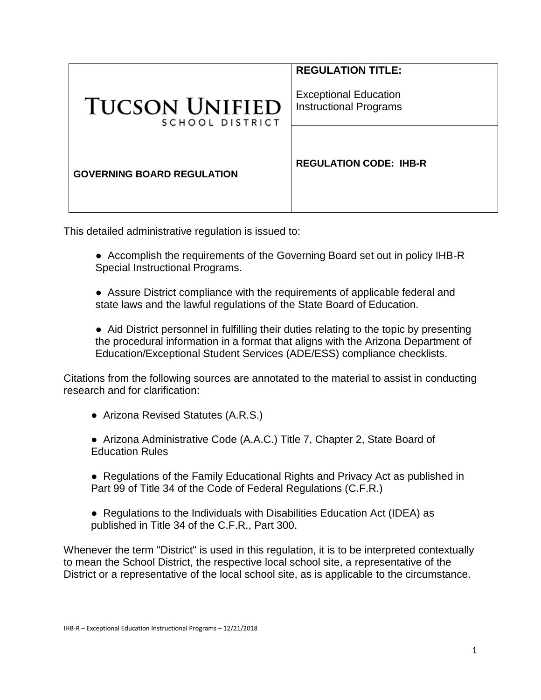|                                          | <b>REGULATION TITLE:</b>                                      |
|------------------------------------------|---------------------------------------------------------------|
| <b>TUCSON UNIFIED</b><br>SCHOOL DISTRICT | <b>Exceptional Education</b><br><b>Instructional Programs</b> |
|                                          |                                                               |
| <b>GOVERNING BOARD REGULATION</b>        | <b>REGULATION CODE: IHB-R</b>                                 |

This detailed administrative regulation is issued to:

- Accomplish the requirements of the Governing Board set out in policy IHB-R Special Instructional Programs.
- Assure District compliance with the requirements of applicable federal and state laws and the lawful regulations of the State Board of Education.

● Aid District personnel in fulfilling their duties relating to the topic by presenting the procedural information in a format that aligns with the Arizona Department of Education/Exceptional Student Services (ADE/ESS) compliance checklists.

Citations from the following sources are annotated to the material to assist in conducting research and for clarification:

● Arizona Revised Statutes (A.R.S.)

● Arizona Administrative Code (A.A.C.) Title 7, Chapter 2, State Board of Education Rules

- Regulations of the Family Educational Rights and Privacy Act as published in Part 99 of Title 34 of the Code of Federal Regulations (C.F.R.)
- Regulations to the Individuals with Disabilities Education Act (IDEA) as published in Title 34 of the C.F.R., Part 300.

Whenever the term "District" is used in this regulation, it is to be interpreted contextually to mean the School District, the respective local school site, a representative of the District or a representative of the local school site, as is applicable to the circumstance.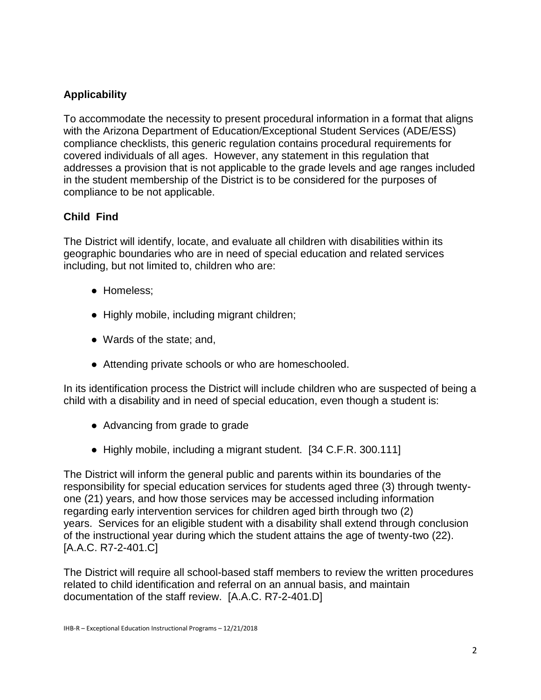# **Applicability**

To accommodate the necessity to present procedural information in a format that aligns with the Arizona Department of Education/Exceptional Student Services (ADE/ESS) compliance checklists, this generic regulation contains procedural requirements for covered individuals of all ages. However, any statement in this regulation that addresses a provision that is not applicable to the grade levels and age ranges included in the student membership of the District is to be considered for the purposes of compliance to be not applicable.

# **Child Find**

The District will identify, locate, and evaluate all children with disabilities within its geographic boundaries who are in need of special education and related services including, but not limited to, children who are:

- Homeless;
- Highly mobile, including migrant children;
- Wards of the state; and,
- Attending private schools or who are homeschooled.

In its identification process the District will include children who are suspected of being a child with a disability and in need of special education, even though a student is:

- Advancing from grade to grade
- Highly mobile, including a migrant student. [34 C.F.R. 300.111]

The District will inform the general public and parents within its boundaries of the responsibility for special education services for students aged three (3) through twentyone (21) years, and how those services may be accessed including information regarding early intervention services for children aged birth through two (2) years. Services for an eligible student with a disability shall extend through conclusion of the instructional year during which the student attains the age of twenty-two (22). [A.A.C. R7-2-401.C]

The District will require all school-based staff members to review the written procedures related to child identification and referral on an annual basis, and maintain documentation of the staff review. [A.A.C. R7-2-401.D]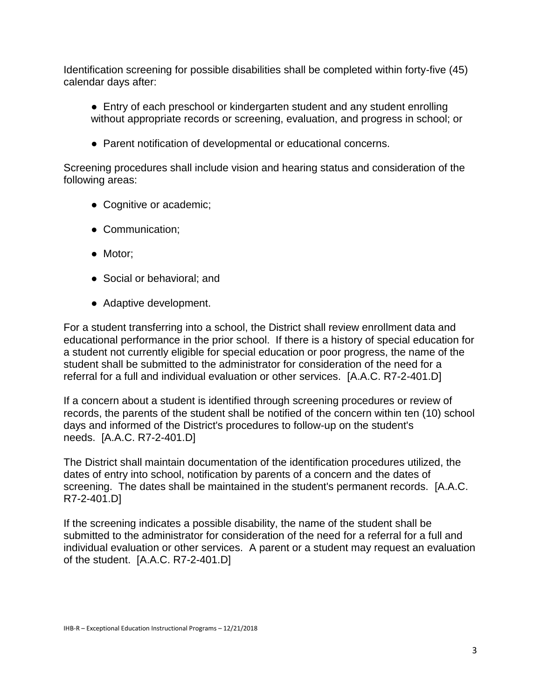Identification screening for possible disabilities shall be completed within forty-five (45) calendar days after:

- Entry of each preschool or kindergarten student and any student enrolling without appropriate records or screening, evaluation, and progress in school; or
- Parent notification of developmental or educational concerns.

Screening procedures shall include vision and hearing status and consideration of the following areas:

- Cognitive or academic;
- Communication;
- Motor;
- Social or behavioral; and
- Adaptive development.

For a student transferring into a school, the District shall review enrollment data and educational performance in the prior school. If there is a history of special education for a student not currently eligible for special education or poor progress, the name of the student shall be submitted to the administrator for consideration of the need for a referral for a full and individual evaluation or other services. [A.A.C. R7-2-401.D]

If a concern about a student is identified through screening procedures or review of records, the parents of the student shall be notified of the concern within ten (10) school days and informed of the District's procedures to follow-up on the student's needs. [A.A.C. R7-2-401.D]

The District shall maintain documentation of the identification procedures utilized, the dates of entry into school, notification by parents of a concern and the dates of screening. The dates shall be maintained in the student's permanent records. [A.A.C. R7-2-401.D]

If the screening indicates a possible disability, the name of the student shall be submitted to the administrator for consideration of the need for a referral for a full and individual evaluation or other services. A parent or a student may request an evaluation of the student. [A.A.C. R7-2-401.D]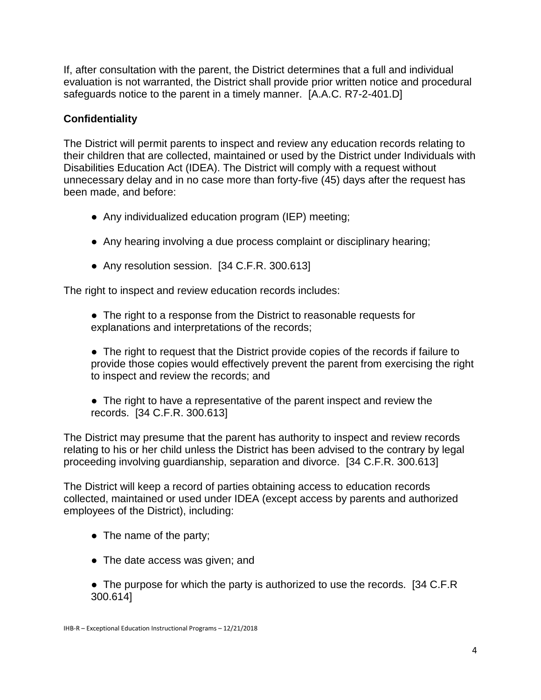If, after consultation with the parent, the District determines that a full and individual evaluation is not warranted, the District shall provide prior written notice and procedural safeguards notice to the parent in a timely manner. [A.A.C. R7-2-401.D]

# **Confidentiality**

The District will permit parents to inspect and review any education records relating to their children that are collected, maintained or used by the District under Individuals with Disabilities Education Act (IDEA). The District will comply with a request without unnecessary delay and in no case more than forty-five (45) days after the request has been made, and before:

- Any individualized education program (IEP) meeting;
- Any hearing involving a due process complaint or disciplinary hearing;
- Any resolution session. [34 C.F.R. 300.613]

The right to inspect and review education records includes:

• The right to a response from the District to reasonable requests for explanations and interpretations of the records;

• The right to request that the District provide copies of the records if failure to provide those copies would effectively prevent the parent from exercising the right to inspect and review the records; and

● The right to have a representative of the parent inspect and review the records. [34 C.F.R. 300.613]

The District may presume that the parent has authority to inspect and review records relating to his or her child unless the District has been advised to the contrary by legal proceeding involving guardianship, separation and divorce. [34 C.F.R. 300.613]

The District will keep a record of parties obtaining access to education records collected, maintained or used under IDEA (except access by parents and authorized employees of the District), including:

- The name of the party;
- The date access was given; and
- The purpose for which the party is authorized to use the records. [34 C.F.R] 300.614]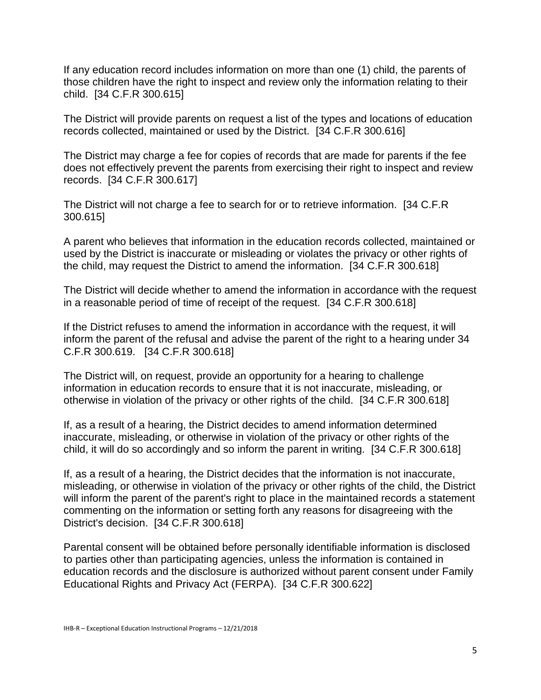If any education record includes information on more than one (1) child, the parents of those children have the right to inspect and review only the information relating to their child. [34 C.F.R 300.615]

The District will provide parents on request a list of the types and locations of education records collected, maintained or used by the District. [34 C.F.R 300.616]

The District may charge a fee for copies of records that are made for parents if the fee does not effectively prevent the parents from exercising their right to inspect and review records. [34 C.F.R 300.617]

The District will not charge a fee to search for or to retrieve information. [34 C.F.R 300.615]

A parent who believes that information in the education records collected, maintained or used by the District is inaccurate or misleading or violates the privacy or other rights of the child, may request the District to amend the information. [34 C.F.R 300.618]

The District will decide whether to amend the information in accordance with the request in a reasonable period of time of receipt of the request. [34 C.F.R 300.618]

If the District refuses to amend the information in accordance with the request, it will inform the parent of the refusal and advise the parent of the right to a hearing under 34 C.F.R 300.619. [34 C.F.R 300.618]

The District will, on request, provide an opportunity for a hearing to challenge information in education records to ensure that it is not inaccurate, misleading, or otherwise in violation of the privacy or other rights of the child. [34 C.F.R 300.618]

If, as a result of a hearing, the District decides to amend information determined inaccurate, misleading, or otherwise in violation of the privacy or other rights of the child, it will do so accordingly and so inform the parent in writing. [34 C.F.R 300.618]

If, as a result of a hearing, the District decides that the information is not inaccurate, misleading, or otherwise in violation of the privacy or other rights of the child, the District will inform the parent of the parent's right to place in the maintained records a statement commenting on the information or setting forth any reasons for disagreeing with the District's decision. [34 C.F.R 300.618]

Parental consent will be obtained before personally identifiable information is disclosed to parties other than participating agencies, unless the information is contained in education records and the disclosure is authorized without parent consent under Family Educational Rights and Privacy Act (FERPA). [34 C.F.R 300.622]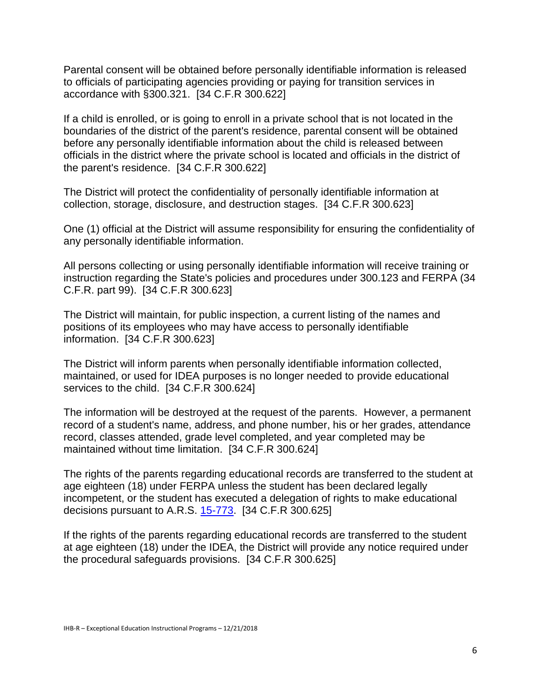Parental consent will be obtained before personally identifiable information is released to officials of participating agencies providing or paying for transition services in accordance with §300.321. [34 C.F.R 300.622]

If a child is enrolled, or is going to enroll in a private school that is not located in the boundaries of the district of the parent's residence, parental consent will be obtained before any personally identifiable information about the child is released between officials in the district where the private school is located and officials in the district of the parent's residence. [34 C.F.R 300.622]

The District will protect the confidentiality of personally identifiable information at collection, storage, disclosure, and destruction stages. [34 C.F.R 300.623]

One (1) official at the District will assume responsibility for ensuring the confidentiality of any personally identifiable information.

All persons collecting or using personally identifiable information will receive training or instruction regarding the State's policies and procedures under 300.123 and FERPA (34 C.F.R. part 99). [34 C.F.R 300.623]

The District will maintain, for public inspection, a current listing of the names and positions of its employees who may have access to personally identifiable information. [34 C.F.R 300.623]

The District will inform parents when personally identifiable information collected, maintained, or used for IDEA purposes is no longer needed to provide educational services to the child. [34 C.F.R 300.624]

The information will be destroyed at the request of the parents. However, a permanent record of a student's name, address, and phone number, his or her grades, attendance record, classes attended, grade level completed, and year completed may be maintained without time limitation. [34 C.F.R 300.624]

The rights of the parents regarding educational records are transferred to the student at age eighteen (18) under FERPA unless the student has been declared legally incompetent, or the student has executed a delegation of rights to make educational decisions pursuant to A.R.S. [15-773.](http://www.azleg.gov/FormatDocument.asp?inDoc=/ars/15/00773.htm&Title=15&DocType=ARS) [34 C.F.R 300.625]

If the rights of the parents regarding educational records are transferred to the student at age eighteen (18) under the IDEA, the District will provide any notice required under the procedural safeguards provisions. [34 C.F.R 300.625]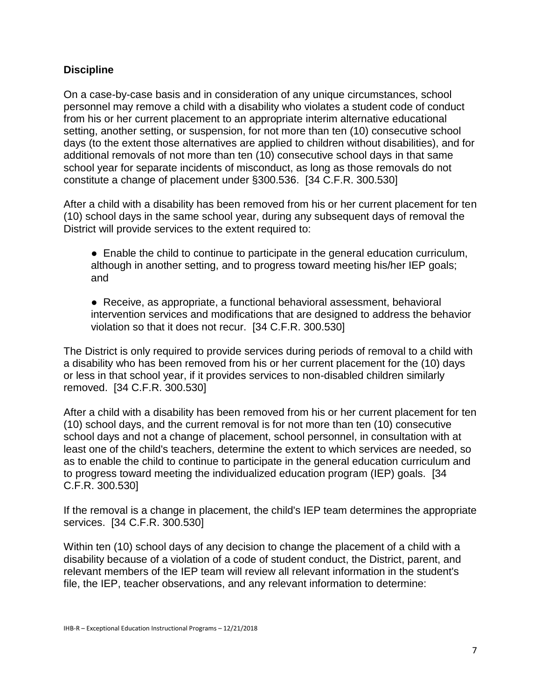### **Discipline**

On a case-by-case basis and in consideration of any unique circumstances, school personnel may remove a child with a disability who violates a student code of conduct from his or her current placement to an appropriate interim alternative educational setting, another setting, or suspension, for not more than ten (10) consecutive school days (to the extent those alternatives are applied to children without disabilities), and for additional removals of not more than ten (10) consecutive school days in that same school year for separate incidents of misconduct, as long as those removals do not constitute a change of placement under §300.536. [34 C.F.R. 300.530]

After a child with a disability has been removed from his or her current placement for ten (10) school days in the same school year, during any subsequent days of removal the District will provide services to the extent required to:

● Enable the child to continue to participate in the general education curriculum, although in another setting, and to progress toward meeting his/her IEP goals; and

● Receive, as appropriate, a functional behavioral assessment, behavioral intervention services and modifications that are designed to address the behavior violation so that it does not recur. [34 C.F.R. 300.530]

The District is only required to provide services during periods of removal to a child with a disability who has been removed from his or her current placement for the (10) days or less in that school year, if it provides services to non-disabled children similarly removed. [34 C.F.R. 300.530]

After a child with a disability has been removed from his or her current placement for ten (10) school days, and the current removal is for not more than ten (10) consecutive school days and not a change of placement, school personnel, in consultation with at least one of the child's teachers, determine the extent to which services are needed, so as to enable the child to continue to participate in the general education curriculum and to progress toward meeting the individualized education program (IEP) goals. [34 C.F.R. 300.530]

If the removal is a change in placement, the child's IEP team determines the appropriate services. [34 C.F.R. 300.530]

Within ten (10) school days of any decision to change the placement of a child with a disability because of a violation of a code of student conduct, the District, parent, and relevant members of the IEP team will review all relevant information in the student's file, the IEP, teacher observations, and any relevant information to determine: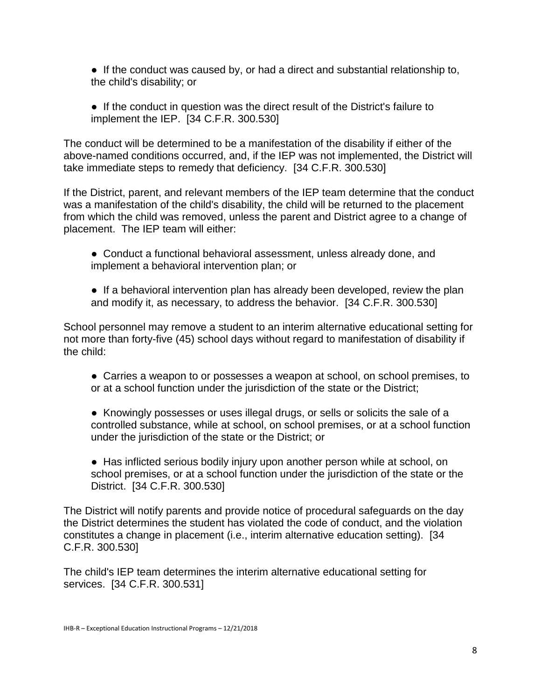● If the conduct was caused by, or had a direct and substantial relationship to, the child's disability; or

● If the conduct in question was the direct result of the District's failure to implement the IEP. [34 C.F.R. 300.530]

The conduct will be determined to be a manifestation of the disability if either of the above-named conditions occurred, and, if the IEP was not implemented, the District will take immediate steps to remedy that deficiency. [34 C.F.R. 300.530]

If the District, parent, and relevant members of the IEP team determine that the conduct was a manifestation of the child's disability, the child will be returned to the placement from which the child was removed, unless the parent and District agree to a change of placement. The IEP team will either:

- Conduct a functional behavioral assessment, unless already done, and implement a behavioral intervention plan; or
- If a behavioral intervention plan has already been developed, review the plan and modify it, as necessary, to address the behavior. [34 C.F.R. 300.530]

School personnel may remove a student to an interim alternative educational setting for not more than forty-five (45) school days without regard to manifestation of disability if the child:

● Carries a weapon to or possesses a weapon at school, on school premises, to or at a school function under the jurisdiction of the state or the District;

● Knowingly possesses or uses illegal drugs, or sells or solicits the sale of a controlled substance, while at school, on school premises, or at a school function under the jurisdiction of the state or the District; or

● Has inflicted serious bodily injury upon another person while at school, on school premises, or at a school function under the jurisdiction of the state or the District. [34 C.F.R. 300.530]

The District will notify parents and provide notice of procedural safeguards on the day the District determines the student has violated the code of conduct, and the violation constitutes a change in placement (i.e., interim alternative education setting). [34 C.F.R. 300.530]

The child's IEP team determines the interim alternative educational setting for services. [34 C.F.R. 300.531]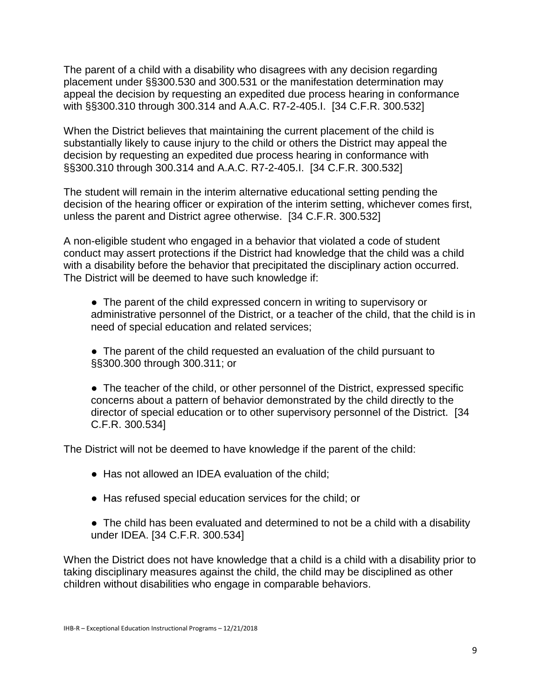The parent of a child with a disability who disagrees with any decision regarding placement under §§300.530 and 300.531 or the manifestation determination may appeal the decision by requesting an expedited due process hearing in conformance with §§300.310 through 300.314 and A.A.C. R7-2-405.I. [34 C.F.R. 300.532]

When the District believes that maintaining the current placement of the child is substantially likely to cause injury to the child or others the District may appeal the decision by requesting an expedited due process hearing in conformance with §§300.310 through 300.314 and A.A.C. R7-2-405.I. [34 C.F.R. 300.532]

The student will remain in the interim alternative educational setting pending the decision of the hearing officer or expiration of the interim setting, whichever comes first, unless the parent and District agree otherwise. [34 C.F.R. 300.532]

A non-eligible student who engaged in a behavior that violated a code of student conduct may assert protections if the District had knowledge that the child was a child with a disability before the behavior that precipitated the disciplinary action occurred. The District will be deemed to have such knowledge if:

● The parent of the child expressed concern in writing to supervisory or administrative personnel of the District, or a teacher of the child, that the child is in need of special education and related services;

• The parent of the child requested an evaluation of the child pursuant to §§300.300 through 300.311; or

• The teacher of the child, or other personnel of the District, expressed specific concerns about a pattern of behavior demonstrated by the child directly to the director of special education or to other supervisory personnel of the District. [34 C.F.R. 300.534]

The District will not be deemed to have knowledge if the parent of the child:

- Has not allowed an IDEA evaluation of the child:
- Has refused special education services for the child; or
- The child has been evaluated and determined to not be a child with a disability under IDEA. [34 C.F.R. 300.534]

When the District does not have knowledge that a child is a child with a disability prior to taking disciplinary measures against the child, the child may be disciplined as other children without disabilities who engage in comparable behaviors.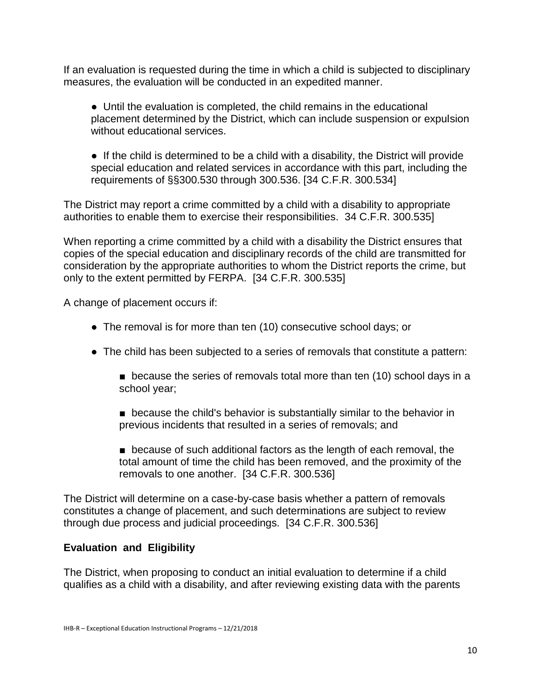If an evaluation is requested during the time in which a child is subjected to disciplinary measures, the evaluation will be conducted in an expedited manner.

● Until the evaluation is completed, the child remains in the educational placement determined by the District, which can include suspension or expulsion without educational services.

● If the child is determined to be a child with a disability, the District will provide special education and related services in accordance with this part, including the requirements of §§300.530 through 300.536. [34 C.F.R. 300.534]

The District may report a crime committed by a child with a disability to appropriate authorities to enable them to exercise their responsibilities. 34 C.F.R. 300.535]

When reporting a crime committed by a child with a disability the District ensures that copies of the special education and disciplinary records of the child are transmitted for consideration by the appropriate authorities to whom the District reports the crime, but only to the extent permitted by FERPA. [34 C.F.R. 300.535]

A change of placement occurs if:

- The removal is for more than ten (10) consecutive school days; or
- The child has been subjected to a series of removals that constitute a pattern:
	- because the series of removals total more than ten (10) school days in a school year;
	- because the child's behavior is substantially similar to the behavior in previous incidents that resulted in a series of removals; and
	- because of such additional factors as the length of each removal, the total amount of time the child has been removed, and the proximity of the removals to one another. [34 C.F.R. 300.536]

The District will determine on a case-by-case basis whether a pattern of removals constitutes a change of placement, and such determinations are subject to review through due process and judicial proceedings. [34 C.F.R. 300.536]

#### **Evaluation and Eligibility**

The District, when proposing to conduct an initial evaluation to determine if a child qualifies as a child with a disability, and after reviewing existing data with the parents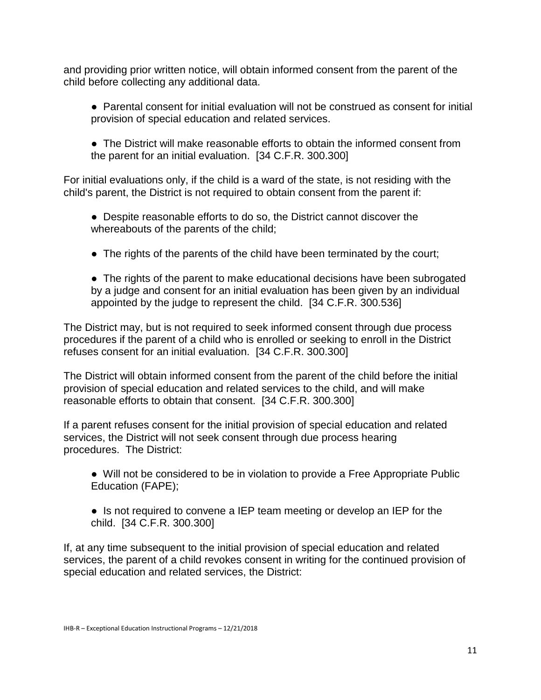and providing prior written notice, will obtain informed consent from the parent of the child before collecting any additional data.

- Parental consent for initial evaluation will not be construed as consent for initial provision of special education and related services.
- The District will make reasonable efforts to obtain the informed consent from the parent for an initial evaluation. [34 C.F.R. 300.300]

For initial evaluations only, if the child is a ward of the state, is not residing with the child's parent, the District is not required to obtain consent from the parent if:

- Despite reasonable efforts to do so, the District cannot discover the whereabouts of the parents of the child;
- The rights of the parents of the child have been terminated by the court;
- The rights of the parent to make educational decisions have been subrogated by a judge and consent for an initial evaluation has been given by an individual appointed by the judge to represent the child. [34 C.F.R. 300.536]

The District may, but is not required to seek informed consent through due process procedures if the parent of a child who is enrolled or seeking to enroll in the District refuses consent for an initial evaluation. [34 C.F.R. 300.300]

The District will obtain informed consent from the parent of the child before the initial provision of special education and related services to the child, and will make reasonable efforts to obtain that consent. [34 C.F.R. 300.300]

If a parent refuses consent for the initial provision of special education and related services, the District will not seek consent through due process hearing procedures. The District:

- Will not be considered to be in violation to provide a Free Appropriate Public Education (FAPE);
- Is not required to convene a IEP team meeting or develop an IEP for the child. [34 C.F.R. 300.300]

If, at any time subsequent to the initial provision of special education and related services, the parent of a child revokes consent in writing for the continued provision of special education and related services, the District: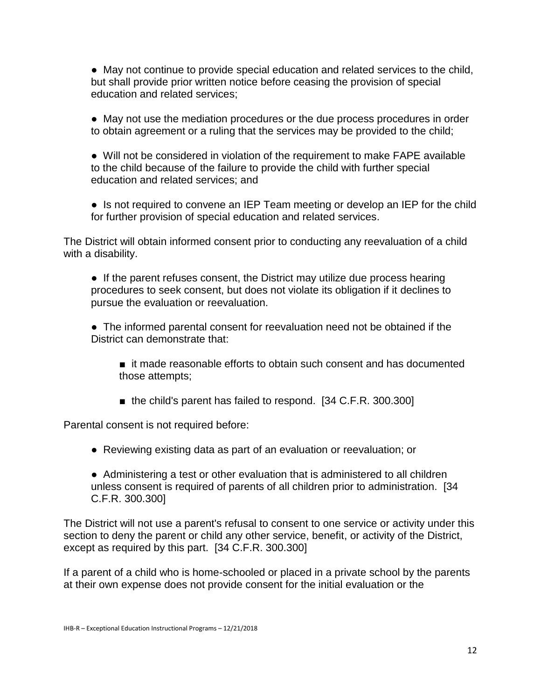● May not continue to provide special education and related services to the child, but shall provide prior written notice before ceasing the provision of special education and related services;

● May not use the mediation procedures or the due process procedures in order to obtain agreement or a ruling that the services may be provided to the child;

● Will not be considered in violation of the requirement to make FAPE available to the child because of the failure to provide the child with further special education and related services; and

• Is not required to convene an IEP Team meeting or develop an IEP for the child for further provision of special education and related services.

The District will obtain informed consent prior to conducting any reevaluation of a child with a disability.

• If the parent refuses consent, the District may utilize due process hearing procedures to seek consent, but does not violate its obligation if it declines to pursue the evaluation or reevaluation.

● The informed parental consent for reevaluation need not be obtained if the District can demonstrate that:

- it made reasonable efforts to obtain such consent and has documented those attempts;
- the child's parent has failed to respond. [34 C.F.R. 300.300]

Parental consent is not required before:

- Reviewing existing data as part of an evaluation or reevaluation; or
- Administering a test or other evaluation that is administered to all children unless consent is required of parents of all children prior to administration. [34 C.F.R. 300.300]

The District will not use a parent's refusal to consent to one service or activity under this section to deny the parent or child any other service, benefit, or activity of the District, except as required by this part. [34 C.F.R. 300.300]

If a parent of a child who is home-schooled or placed in a private school by the parents at their own expense does not provide consent for the initial evaluation or the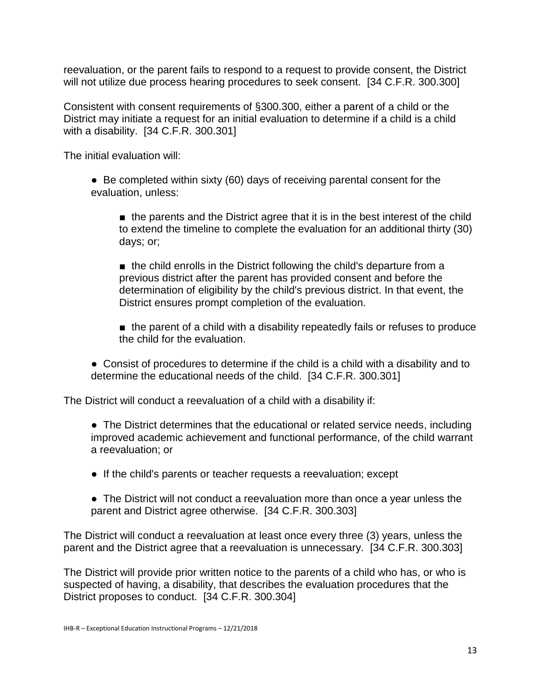reevaluation, or the parent fails to respond to a request to provide consent, the District will not utilize due process hearing procedures to seek consent. [34 C.F.R. 300.300]

Consistent with consent requirements of §300.300, either a parent of a child or the District may initiate a request for an initial evaluation to determine if a child is a child with a disability. [34 C.F.R. 300.301]

The initial evaluation will:

• Be completed within sixty (60) days of receiving parental consent for the evaluation, unless:

■ the parents and the District agree that it is in the best interest of the child to extend the timeline to complete the evaluation for an additional thirty (30) days; or;

■ the child enrolls in the District following the child's departure from a previous district after the parent has provided consent and before the determination of eligibility by the child's previous district. In that event, the District ensures prompt completion of the evaluation.

■ the parent of a child with a disability repeatedly fails or refuses to produce the child for the evaluation.

● Consist of procedures to determine if the child is a child with a disability and to determine the educational needs of the child. [34 C.F.R. 300.301]

The District will conduct a reevaluation of a child with a disability if:

● The District determines that the educational or related service needs, including improved academic achievement and functional performance, of the child warrant a reevaluation; or

- If the child's parents or teacher requests a reevaluation; except
- The District will not conduct a reevaluation more than once a year unless the parent and District agree otherwise. [34 C.F.R. 300.303]

The District will conduct a reevaluation at least once every three (3) years, unless the parent and the District agree that a reevaluation is unnecessary. [34 C.F.R. 300.303]

The District will provide prior written notice to the parents of a child who has, or who is suspected of having, a disability, that describes the evaluation procedures that the District proposes to conduct. [34 C.F.R. 300.304]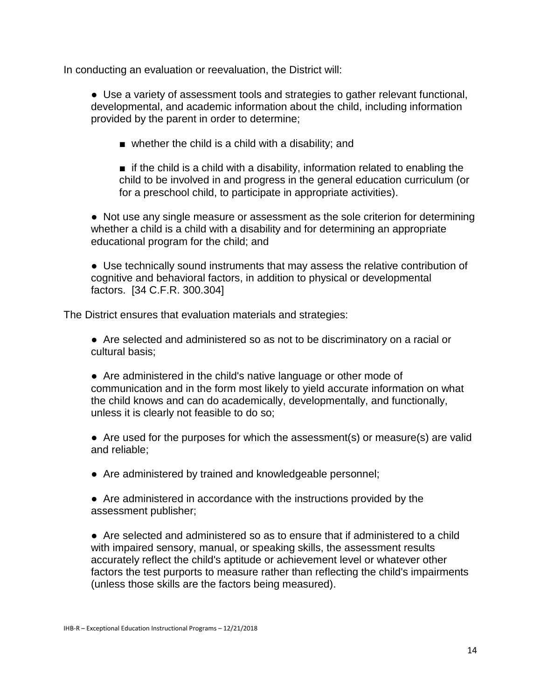In conducting an evaluation or reevaluation, the District will:

● Use a variety of assessment tools and strategies to gather relevant functional, developmental, and academic information about the child, including information provided by the parent in order to determine;

 $\blacksquare$  whether the child is a child with a disability; and

■ if the child is a child with a disability, information related to enabling the child to be involved in and progress in the general education curriculum (or for a preschool child, to participate in appropriate activities).

● Not use any single measure or assessment as the sole criterion for determining whether a child is a child with a disability and for determining an appropriate educational program for the child; and

● Use technically sound instruments that may assess the relative contribution of cognitive and behavioral factors, in addition to physical or developmental factors. [34 C.F.R. 300.304]

The District ensures that evaluation materials and strategies:

● Are selected and administered so as not to be discriminatory on a racial or cultural basis;

● Are administered in the child's native language or other mode of communication and in the form most likely to yield accurate information on what the child knows and can do academically, developmentally, and functionally, unless it is clearly not feasible to do so;

• Are used for the purposes for which the assessment(s) or measure(s) are valid and reliable;

• Are administered by trained and knowledgeable personnel;

● Are administered in accordance with the instructions provided by the assessment publisher;

● Are selected and administered so as to ensure that if administered to a child with impaired sensory, manual, or speaking skills, the assessment results accurately reflect the child's aptitude or achievement level or whatever other factors the test purports to measure rather than reflecting the child's impairments (unless those skills are the factors being measured).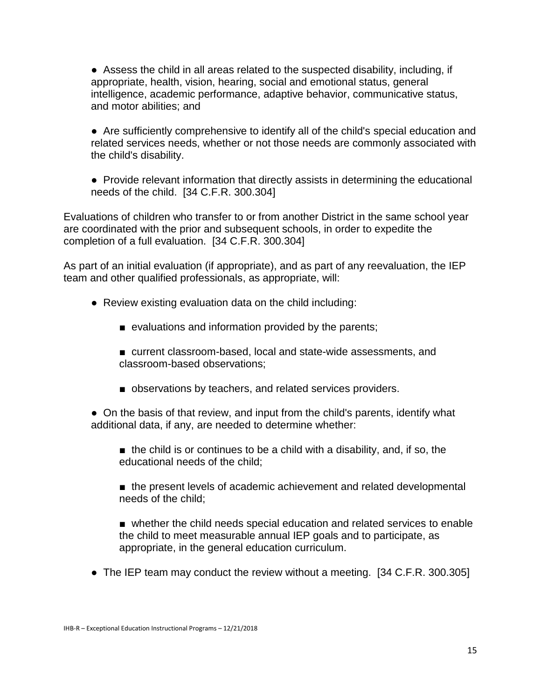● Assess the child in all areas related to the suspected disability, including, if appropriate, health, vision, hearing, social and emotional status, general intelligence, academic performance, adaptive behavior, communicative status, and motor abilities; and

● Are sufficiently comprehensive to identify all of the child's special education and related services needs, whether or not those needs are commonly associated with the child's disability.

● Provide relevant information that directly assists in determining the educational needs of the child. [34 C.F.R. 300.304]

Evaluations of children who transfer to or from another District in the same school year are coordinated with the prior and subsequent schools, in order to expedite the completion of a full evaluation. [34 C.F.R. 300.304]

As part of an initial evaluation (if appropriate), and as part of any reevaluation, the IEP team and other qualified professionals, as appropriate, will:

- Review existing evaluation data on the child including:
	- evaluations and information provided by the parents;
	- current classroom-based, local and state-wide assessments, and classroom-based observations;
	- observations by teachers, and related services providers.

• On the basis of that review, and input from the child's parents, identify what additional data, if any, are needed to determine whether:

- $\blacksquare$  the child is or continues to be a child with a disability, and, if so, the educational needs of the child;
- the present levels of academic achievement and related developmental needs of the child;

■ whether the child needs special education and related services to enable the child to meet measurable annual IEP goals and to participate, as appropriate, in the general education curriculum.

• The IEP team may conduct the review without a meeting. [34 C.F.R. 300.305]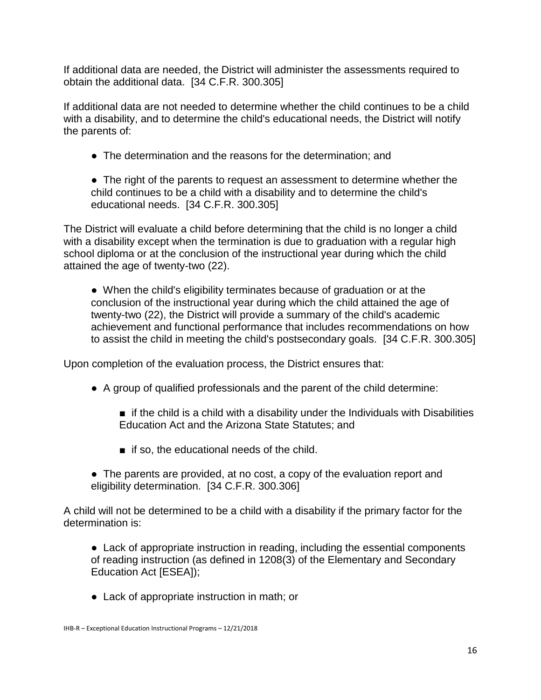If additional data are needed, the District will administer the assessments required to obtain the additional data. [34 C.F.R. 300.305]

If additional data are not needed to determine whether the child continues to be a child with a disability, and to determine the child's educational needs, the District will notify the parents of:

• The determination and the reasons for the determination; and

• The right of the parents to request an assessment to determine whether the child continues to be a child with a disability and to determine the child's educational needs. [34 C.F.R. 300.305]

The District will evaluate a child before determining that the child is no longer a child with a disability except when the termination is due to graduation with a regular high school diploma or at the conclusion of the instructional year during which the child attained the age of twenty-two (22).

• When the child's eligibility terminates because of graduation or at the conclusion of the instructional year during which the child attained the age of twenty-two (22), the District will provide a summary of the child's academic achievement and functional performance that includes recommendations on how to assist the child in meeting the child's postsecondary goals. [34 C.F.R. 300.305]

Upon completion of the evaluation process, the District ensures that:

- A group of qualified professionals and the parent of the child determine:
	- $\blacksquare$  if the child is a child with a disability under the Individuals with Disabilities Education Act and the Arizona State Statutes; and
	- if so, the educational needs of the child.
- The parents are provided, at no cost, a copy of the evaluation report and eligibility determination. [34 C.F.R. 300.306]

A child will not be determined to be a child with a disability if the primary factor for the determination is:

● Lack of appropriate instruction in reading, including the essential components of reading instruction (as defined in 1208(3) of the Elementary and Secondary Education Act [ESEA]);

● Lack of appropriate instruction in math; or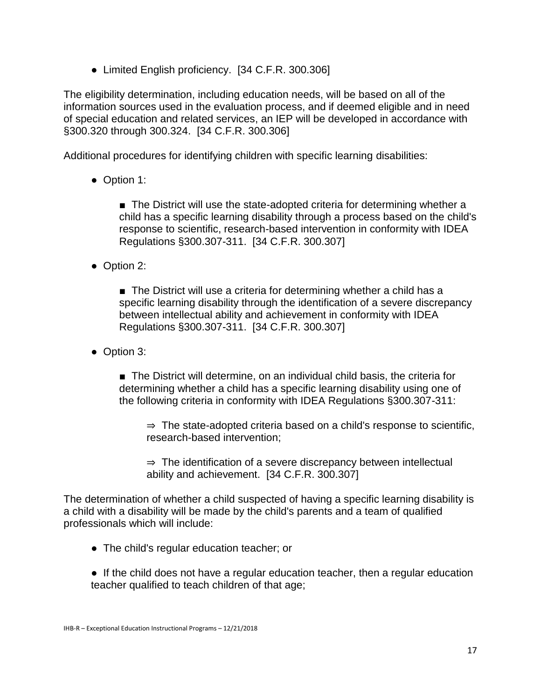• Limited English proficiency. [34 C.F.R. 300.306]

The eligibility determination, including education needs, will be based on all of the information sources used in the evaluation process, and if deemed eligible and in need of special education and related services, an IEP will be developed in accordance with §300.320 through 300.324. [34 C.F.R. 300.306]

Additional procedures for identifying children with specific learning disabilities:

● Option 1:

■ The District will use the state-adopted criteria for determining whether a child has a specific learning disability through a process based on the child's response to scientific, research-based intervention in conformity with IDEA Regulations §300.307-311. [34 C.F.R. 300.307]

● Option 2:

■ The District will use a criteria for determining whether a child has a specific learning disability through the identification of a severe discrepancy between intellectual ability and achievement in conformity with IDEA Regulations §300.307-311. [34 C.F.R. 300.307]

● Option 3:

■ The District will determine, on an individual child basis, the criteria for determining whether a child has a specific learning disability using one of the following criteria in conformity with IDEA Regulations §300.307-311:

⇒ The state-adopted criteria based on a child's response to scientific, research-based intervention;

 $\Rightarrow$  The identification of a severe discrepancy between intellectual ability and achievement. [34 C.F.R. 300.307]

The determination of whether a child suspected of having a specific learning disability is a child with a disability will be made by the child's parents and a team of qualified professionals which will include:

- The child's regular education teacher; or
- If the child does not have a regular education teacher, then a regular education teacher qualified to teach children of that age;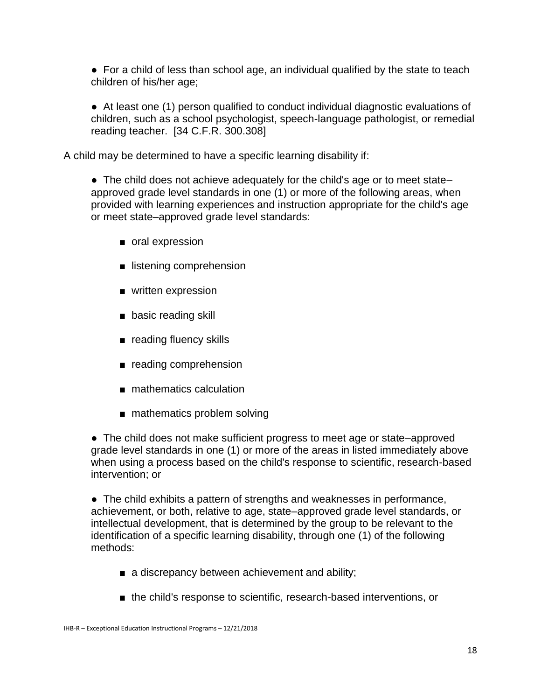• For a child of less than school age, an individual qualified by the state to teach children of his/her age;

● At least one (1) person qualified to conduct individual diagnostic evaluations of children, such as a school psychologist, speech-language pathologist, or remedial reading teacher. [34 C.F.R. 300.308]

A child may be determined to have a specific learning disability if:

• The child does not achieve adequately for the child's age or to meet state– approved grade level standards in one (1) or more of the following areas, when provided with learning experiences and instruction appropriate for the child's age or meet state–approved grade level standards:

- oral expression
- listening comprehension
- written expression
- basic reading skill
- reading fluency skills
- reading comprehension
- mathematics calculation
- mathematics problem solving

• The child does not make sufficient progress to meet age or state–approved grade level standards in one (1) or more of the areas in listed immediately above when using a process based on the child's response to scientific, research-based intervention; or

● The child exhibits a pattern of strengths and weaknesses in performance, achievement, or both, relative to age, state–approved grade level standards, or intellectual development, that is determined by the group to be relevant to the identification of a specific learning disability, through one (1) of the following methods:

- a discrepancy between achievement and ability;
- the child's response to scientific, research-based interventions, or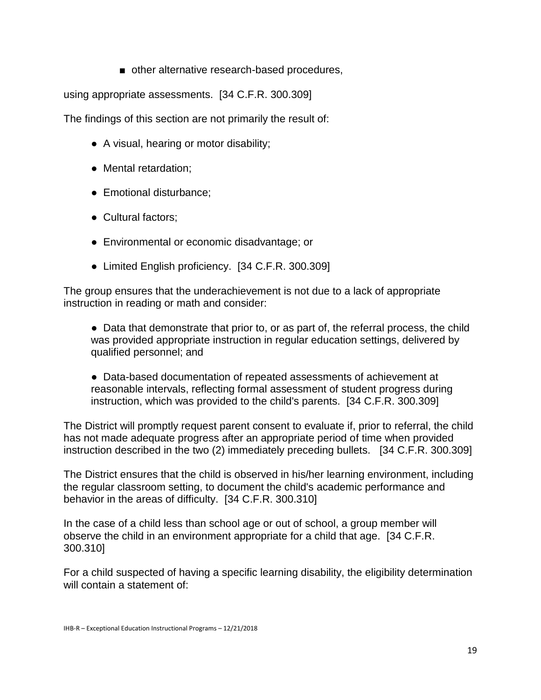■ other alternative research-based procedures,

using appropriate assessments. [34 C.F.R. 300.309]

The findings of this section are not primarily the result of:

- A visual, hearing or motor disability;
- Mental retardation;
- Emotional disturbance;
- Cultural factors:
- Environmental or economic disadvantage; or
- Limited English proficiency. [34 C.F.R. 300.309]

The group ensures that the underachievement is not due to a lack of appropriate instruction in reading or math and consider:

• Data that demonstrate that prior to, or as part of, the referral process, the child was provided appropriate instruction in regular education settings, delivered by qualified personnel; and

● Data-based documentation of repeated assessments of achievement at reasonable intervals, reflecting formal assessment of student progress during instruction, which was provided to the child's parents. [34 C.F.R. 300.309]

The District will promptly request parent consent to evaluate if, prior to referral, the child has not made adequate progress after an appropriate period of time when provided instruction described in the two (2) immediately preceding bullets. [34 C.F.R. 300.309]

The District ensures that the child is observed in his/her learning environment, including the regular classroom setting, to document the child's academic performance and behavior in the areas of difficulty. [34 C.F.R. 300.310]

In the case of a child less than school age or out of school, a group member will observe the child in an environment appropriate for a child that age. [34 C.F.R. 300.310]

For a child suspected of having a specific learning disability, the eligibility determination will contain a statement of: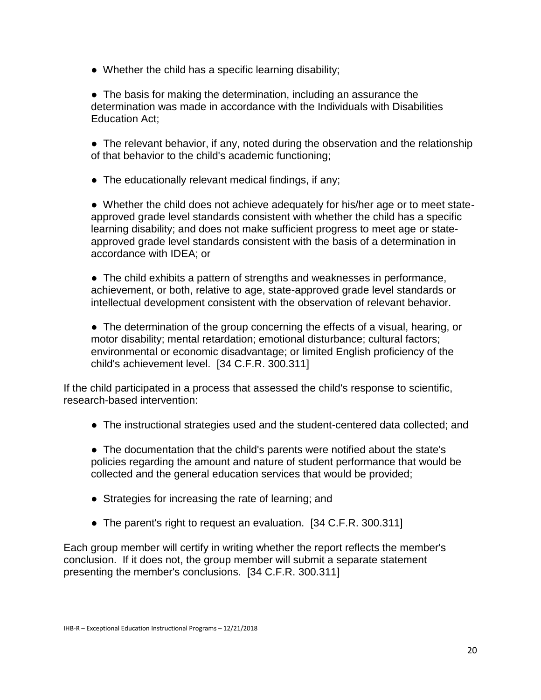• Whether the child has a specific learning disability;

• The basis for making the determination, including an assurance the determination was made in accordance with the Individuals with Disabilities Education Act;

• The relevant behavior, if any, noted during the observation and the relationship of that behavior to the child's academic functioning;

• The educationally relevant medical findings, if any;

• Whether the child does not achieve adequately for his/her age or to meet stateapproved grade level standards consistent with whether the child has a specific learning disability; and does not make sufficient progress to meet age or stateapproved grade level standards consistent with the basis of a determination in accordance with IDEA; or

● The child exhibits a pattern of strengths and weaknesses in performance, achievement, or both, relative to age, state-approved grade level standards or intellectual development consistent with the observation of relevant behavior.

• The determination of the group concerning the effects of a visual, hearing, or motor disability; mental retardation; emotional disturbance; cultural factors; environmental or economic disadvantage; or limited English proficiency of the child's achievement level. [34 C.F.R. 300.311]

If the child participated in a process that assessed the child's response to scientific, research-based intervention:

● The instructional strategies used and the student-centered data collected; and

• The documentation that the child's parents were notified about the state's policies regarding the amount and nature of student performance that would be collected and the general education services that would be provided;

- Strategies for increasing the rate of learning; and
- The parent's right to request an evaluation. [34 C.F.R. 300.311]

Each group member will certify in writing whether the report reflects the member's conclusion. If it does not, the group member will submit a separate statement presenting the member's conclusions. [34 C.F.R. 300.311]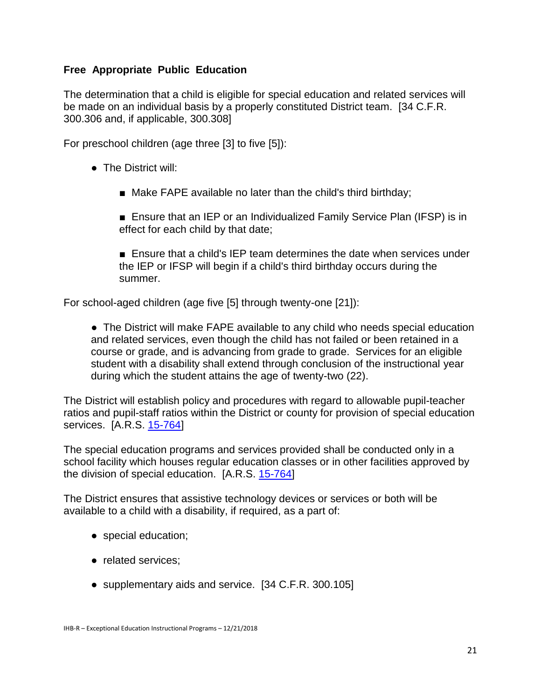### **Free Appropriate Public Education**

The determination that a child is eligible for special education and related services will be made on an individual basis by a properly constituted District team. [34 C.F.R. 300.306 and, if applicable, 300.308]

For preschool children (age three [3] to five [5]):

- The District will:
	- Make FAPE available no later than the child's third birthday;

■ Ensure that an IEP or an Individualized Family Service Plan (IFSP) is in effect for each child by that date;

■ Ensure that a child's IEP team determines the date when services under the IEP or IFSP will begin if a child's third birthday occurs during the summer.

For school-aged children (age five [5] through twenty-one [21]):

● The District will make FAPE available to any child who needs special education and related services, even though the child has not failed or been retained in a course or grade, and is advancing from grade to grade. Services for an eligible student with a disability shall extend through conclusion of the instructional year during which the student attains the age of twenty-two (22).

The District will establish policy and procedures with regard to allowable pupil-teacher ratios and pupil-staff ratios within the District or county for provision of special education services. [A.R.S. [15-764\]](http://www.azleg.gov/FormatDocument.asp?inDoc=/ars/15/00764.htm&Title=15&DocType=ARS)

The special education programs and services provided shall be conducted only in a school facility which houses regular education classes or in other facilities approved by the division of special education. [A.R.S. [15-764\]](http://www.azleg.gov/FormatDocument.asp?inDoc=/ars/15/00764.htm&Title=15&DocType=ARS)

The District ensures that assistive technology devices or services or both will be available to a child with a disability, if required, as a part of:

- special education;
- related services;
- supplementary aids and service. [34 C.F.R. 300.105]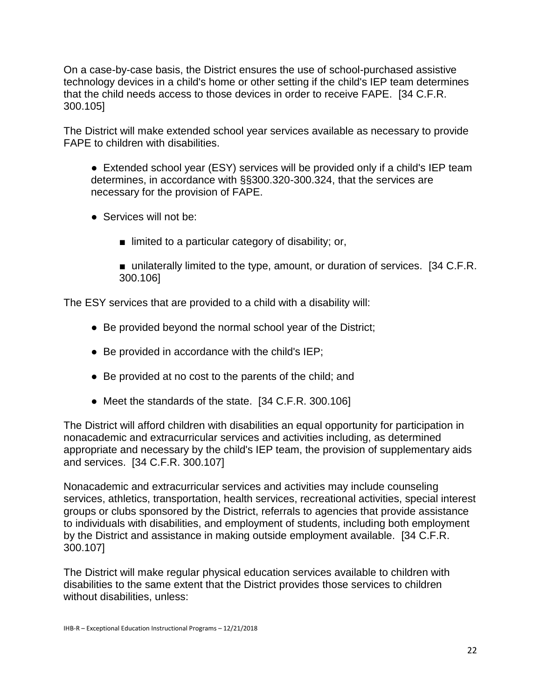On a case-by-case basis, the District ensures the use of school-purchased assistive technology devices in a child's home or other setting if the child's IEP team determines that the child needs access to those devices in order to receive FAPE. [34 C.F.R. 300.105]

The District will make extended school year services available as necessary to provide FAPE to children with disabilities.

● Extended school year (ESY) services will be provided only if a child's IEP team determines, in accordance with §§300.320-300.324, that the services are necessary for the provision of FAPE.

- Services will not be:
	- limited to a particular category of disability; or,

■ unilaterally limited to the type, amount, or duration of services. [34 C.F.R. 300.106]

The ESY services that are provided to a child with a disability will:

- Be provided beyond the normal school year of the District;
- Be provided in accordance with the child's IEP;
- Be provided at no cost to the parents of the child; and
- Meet the standards of the state. [34 C.F.R. 300.106]

The District will afford children with disabilities an equal opportunity for participation in nonacademic and extracurricular services and activities including, as determined appropriate and necessary by the child's IEP team, the provision of supplementary aids and services. [34 C.F.R. 300.107]

Nonacademic and extracurricular services and activities may include counseling services, athletics, transportation, health services, recreational activities, special interest groups or clubs sponsored by the District, referrals to agencies that provide assistance to individuals with disabilities, and employment of students, including both employment by the District and assistance in making outside employment available. [34 C.F.R. 300.107]

The District will make regular physical education services available to children with disabilities to the same extent that the District provides those services to children without disabilities, unless: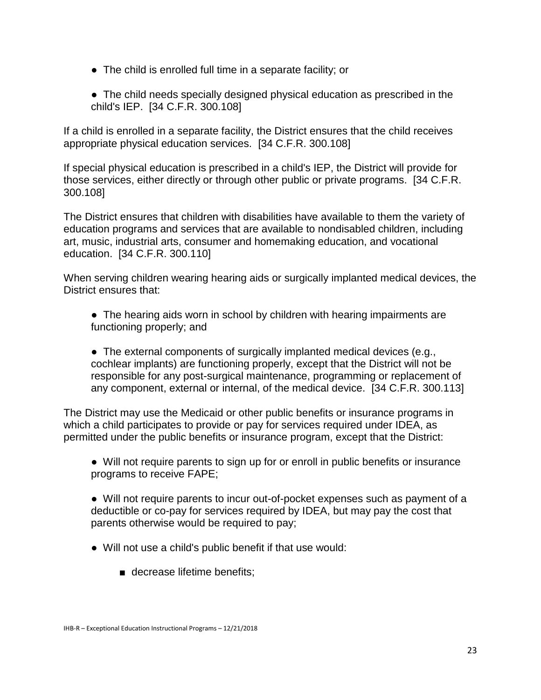- The child is enrolled full time in a separate facility; or
- The child needs specially designed physical education as prescribed in the child's IEP. [34 C.F.R. 300.108]

If a child is enrolled in a separate facility, the District ensures that the child receives appropriate physical education services. [34 C.F.R. 300.108]

If special physical education is prescribed in a child's IEP, the District will provide for those services, either directly or through other public or private programs. [34 C.F.R. 300.108]

The District ensures that children with disabilities have available to them the variety of education programs and services that are available to nondisabled children, including art, music, industrial arts, consumer and homemaking education, and vocational education. [34 C.F.R. 300.110]

When serving children wearing hearing aids or surgically implanted medical devices, the District ensures that:

• The hearing aids worn in school by children with hearing impairments are functioning properly; and

• The external components of surgically implanted medical devices (e.g., cochlear implants) are functioning properly, except that the District will not be responsible for any post-surgical maintenance, programming or replacement of any component, external or internal, of the medical device. [34 C.F.R. 300.113]

The District may use the Medicaid or other public benefits or insurance programs in which a child participates to provide or pay for services required under IDEA, as permitted under the public benefits or insurance program, except that the District:

● Will not require parents to sign up for or enroll in public benefits or insurance programs to receive FAPE;

● Will not require parents to incur out-of-pocket expenses such as payment of a deductible or co-pay for services required by IDEA, but may pay the cost that parents otherwise would be required to pay;

- Will not use a child's public benefit if that use would:
	- decrease lifetime benefits;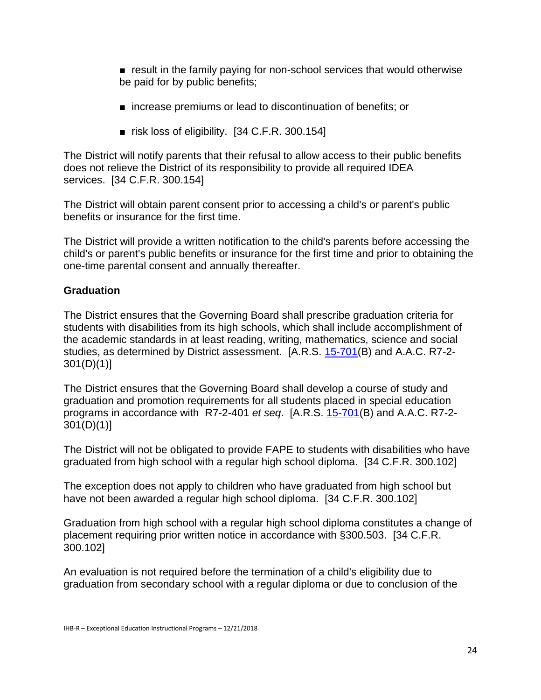■ result in the family paying for non-school services that would otherwise be paid for by public benefits;

- increase premiums or lead to discontinuation of benefits; or
- risk loss of eligibility. [34 C.F.R. 300.154]

The District will notify parents that their refusal to allow access to their public benefits does not relieve the District of its responsibility to provide all required IDEA services. [34 C.F.R. 300.154]

The District will obtain parent consent prior to accessing a child's or parent's public benefits or insurance for the first time.

The District will provide a written notification to the child's parents before accessing the child's or parent's public benefits or insurance for the first time and prior to obtaining the one-time parental consent and annually thereafter.

# **Graduation**

The District ensures that the Governing Board shall prescribe graduation criteria for students with disabilities from its high schools, which shall include accomplishment of the academic standards in at least reading, writing, mathematics, science and social studies, as determined by District assessment. [A.R.S. [15-701\(](http://www.azleg.gov/FormatDocument.asp?inDoc=/ars/15/00701.htm&Title=15&DocType=ARS)B) and A.A.C. R7-2- 301(D)(1)]

The District ensures that the Governing Board shall develop a course of study and graduation and promotion requirements for all students placed in special education programs in accordance with R7-2-401 *et seq*. [A.R.S. [15-701\(](http://www.azleg.gov/FormatDocument.asp?inDoc=/ars/15/00701.htm&Title=15&DocType=ARS)B) and A.A.C. R7-2-  $301(D)(1)$ ]

The District will not be obligated to provide FAPE to students with disabilities who have graduated from high school with a regular high school diploma. [34 C.F.R. 300.102]

The exception does not apply to children who have graduated from high school but have not been awarded a regular high school diploma. [34 C.F.R. 300.102]

Graduation from high school with a regular high school diploma constitutes a change of placement requiring prior written notice in accordance with §300.503. [34 C.F.R. 300.102]

An evaluation is not required before the termination of a child's eligibility due to graduation from secondary school with a regular diploma or due to conclusion of the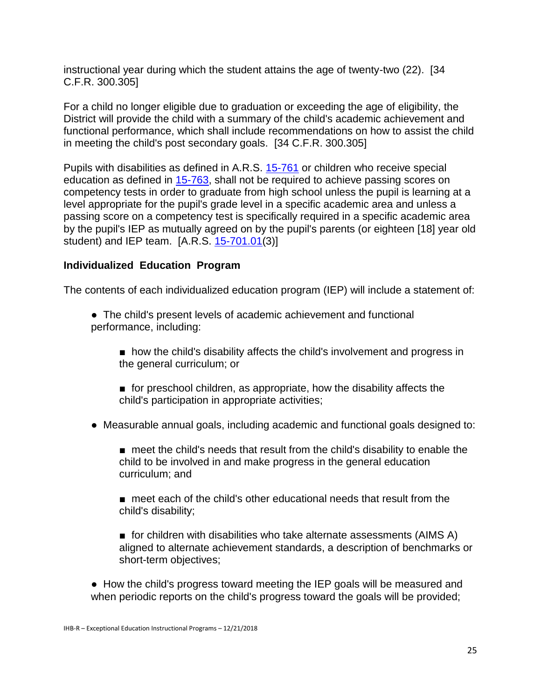instructional year during which the student attains the age of twenty-two (22). [34 C.F.R. 300.305]

For a child no longer eligible due to graduation or exceeding the age of eligibility, the District will provide the child with a summary of the child's academic achievement and functional performance, which shall include recommendations on how to assist the child in meeting the child's post secondary goals. [34 C.F.R. 300.305]

Pupils with disabilities as defined in A.R.S. [15-761](http://www.azleg.gov/FormatDocument.asp?inDoc=/ars/15/00761.htm&Title=15&DocType=ARS) or children who receive special education as defined in [15-763,](http://www.azleg.gov/FormatDocument.asp?inDoc=/ars/15/00763.htm&Title=15&DocType=ARS) shall not be required to achieve passing scores on competency tests in order to graduate from high school unless the pupil is learning at a level appropriate for the pupil's grade level in a specific academic area and unless a passing score on a competency test is specifically required in a specific academic area by the pupil's IEP as mutually agreed on by the pupil's parents (or eighteen [18] year old student) and IEP team.  $[A.R.S. 15-701.01(3)]$  $[A.R.S. 15-701.01(3)]$  $[A.R.S. 15-701.01(3)]$ 

#### **Individualized Education Program**

The contents of each individualized education program (IEP) will include a statement of:

- The child's present levels of academic achievement and functional performance, including:
	- how the child's disability affects the child's involvement and progress in the general curriculum; or
	- for preschool children, as appropriate, how the disability affects the child's participation in appropriate activities;
- Measurable annual goals, including academic and functional goals designed to:
	- meet the child's needs that result from the child's disability to enable the child to be involved in and make progress in the general education curriculum; and
	- meet each of the child's other educational needs that result from the child's disability;
	- for children with disabilities who take alternate assessments (AIMS A) aligned to alternate achievement standards, a description of benchmarks or short-term objectives;
- How the child's progress toward meeting the IEP goals will be measured and when periodic reports on the child's progress toward the goals will be provided;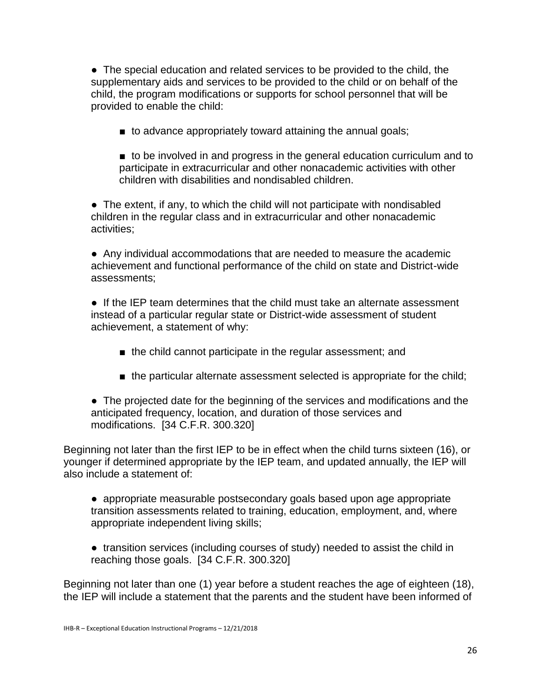● The special education and related services to be provided to the child, the supplementary aids and services to be provided to the child or on behalf of the child, the program modifications or supports for school personnel that will be provided to enable the child:

■ to advance appropriately toward attaining the annual goals;

■ to be involved in and progress in the general education curriculum and to participate in extracurricular and other nonacademic activities with other children with disabilities and nondisabled children.

• The extent, if any, to which the child will not participate with nondisabled children in the regular class and in extracurricular and other nonacademic activities;

● Any individual accommodations that are needed to measure the academic achievement and functional performance of the child on state and District-wide assessments;

● If the IEP team determines that the child must take an alternate assessment instead of a particular regular state or District-wide assessment of student achievement, a statement of why:

- the child cannot participate in the regular assessment; and
- the particular alternate assessment selected is appropriate for the child;

● The projected date for the beginning of the services and modifications and the anticipated frequency, location, and duration of those services and modifications. [34 C.F.R. 300.320]

Beginning not later than the first IEP to be in effect when the child turns sixteen (16), or younger if determined appropriate by the IEP team, and updated annually, the IEP will also include a statement of:

● appropriate measurable postsecondary goals based upon age appropriate transition assessments related to training, education, employment, and, where appropriate independent living skills;

● transition services (including courses of study) needed to assist the child in reaching those goals. [34 C.F.R. 300.320]

Beginning not later than one (1) year before a student reaches the age of eighteen (18), the IEP will include a statement that the parents and the student have been informed of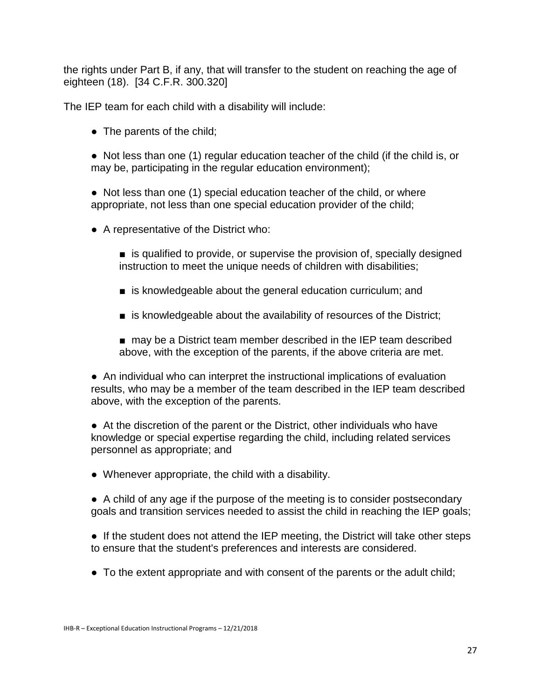the rights under Part B, if any, that will transfer to the student on reaching the age of eighteen (18). [34 C.F.R. 300.320]

The IEP team for each child with a disability will include:

• The parents of the child;

• Not less than one (1) regular education teacher of the child (if the child is, or may be, participating in the regular education environment);

● Not less than one (1) special education teacher of the child, or where appropriate, not less than one special education provider of the child;

- A representative of the District who:
	- is qualified to provide, or supervise the provision of, specially designed instruction to meet the unique needs of children with disabilities;
	- is knowledgeable about the general education curriculum; and
	- is knowledgeable about the availability of resources of the District;
	- may be a District team member described in the IEP team described above, with the exception of the parents, if the above criteria are met.

● An individual who can interpret the instructional implications of evaluation results, who may be a member of the team described in the IEP team described above, with the exception of the parents.

● At the discretion of the parent or the District, other individuals who have knowledge or special expertise regarding the child, including related services personnel as appropriate; and

● Whenever appropriate, the child with a disability.

● A child of any age if the purpose of the meeting is to consider postsecondary goals and transition services needed to assist the child in reaching the IEP goals;

• If the student does not attend the IEP meeting, the District will take other steps to ensure that the student's preferences and interests are considered.

• To the extent appropriate and with consent of the parents or the adult child;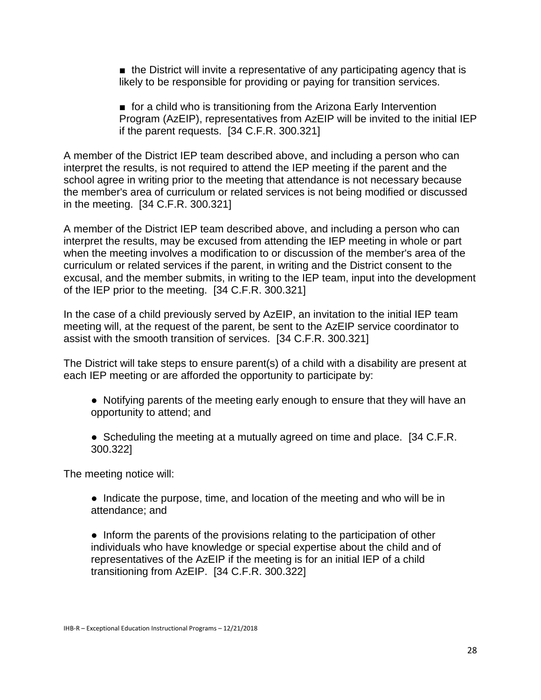■ the District will invite a representative of any participating agency that is likely to be responsible for providing or paying for transition services.

■ for a child who is transitioning from the Arizona Early Intervention Program (AzEIP), representatives from AzEIP will be invited to the initial IEP if the parent requests. [34 C.F.R. 300.321]

A member of the District IEP team described above, and including a person who can interpret the results, is not required to attend the IEP meeting if the parent and the school agree in writing prior to the meeting that attendance is not necessary because the member's area of curriculum or related services is not being modified or discussed in the meeting. [34 C.F.R. 300.321]

A member of the District IEP team described above, and including a person who can interpret the results, may be excused from attending the IEP meeting in whole or part when the meeting involves a modification to or discussion of the member's area of the curriculum or related services if the parent, in writing and the District consent to the excusal, and the member submits, in writing to the IEP team, input into the development of the IEP prior to the meeting. [34 C.F.R. 300.321]

In the case of a child previously served by AzEIP, an invitation to the initial IEP team meeting will, at the request of the parent, be sent to the AzEIP service coordinator to assist with the smooth transition of services. [34 C.F.R. 300.321]

The District will take steps to ensure parent(s) of a child with a disability are present at each IEP meeting or are afforded the opportunity to participate by:

- Notifying parents of the meeting early enough to ensure that they will have an opportunity to attend; and
- Scheduling the meeting at a mutually agreed on time and place. [34 C.F.R.] 300.322]

The meeting notice will:

• Indicate the purpose, time, and location of the meeting and who will be in attendance; and

• Inform the parents of the provisions relating to the participation of other individuals who have knowledge or special expertise about the child and of representatives of the AzEIP if the meeting is for an initial IEP of a child transitioning from AzEIP. [34 C.F.R. 300.322]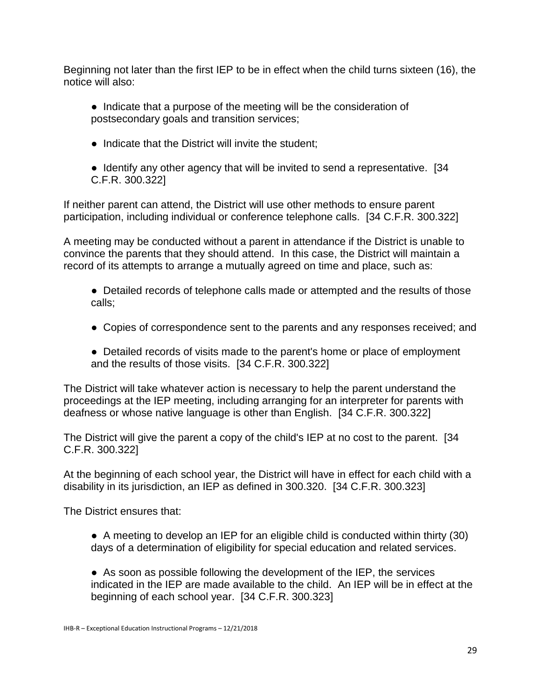Beginning not later than the first IEP to be in effect when the child turns sixteen (16), the notice will also:

- Indicate that a purpose of the meeting will be the consideration of postsecondary goals and transition services;
- Indicate that the District will invite the student;
- Identify any other agency that will be invited to send a representative. [34] C.F.R. 300.322]

If neither parent can attend, the District will use other methods to ensure parent participation, including individual or conference telephone calls. [34 C.F.R. 300.322]

A meeting may be conducted without a parent in attendance if the District is unable to convince the parents that they should attend. In this case, the District will maintain a record of its attempts to arrange a mutually agreed on time and place, such as:

• Detailed records of telephone calls made or attempted and the results of those calls;

- Copies of correspondence sent to the parents and any responses received; and
- Detailed records of visits made to the parent's home or place of employment and the results of those visits. [34 C.F.R. 300.322]

The District will take whatever action is necessary to help the parent understand the proceedings at the IEP meeting, including arranging for an interpreter for parents with deafness or whose native language is other than English. [34 C.F.R. 300.322]

The District will give the parent a copy of the child's IEP at no cost to the parent. [34 C.F.R. 300.322]

At the beginning of each school year, the District will have in effect for each child with a disability in its jurisdiction, an IEP as defined in 300.320. [34 C.F.R. 300.323]

The District ensures that:

● A meeting to develop an IEP for an eligible child is conducted within thirty (30) days of a determination of eligibility for special education and related services.

● As soon as possible following the development of the IEP, the services indicated in the IEP are made available to the child. An IEP will be in effect at the beginning of each school year. [34 C.F.R. 300.323]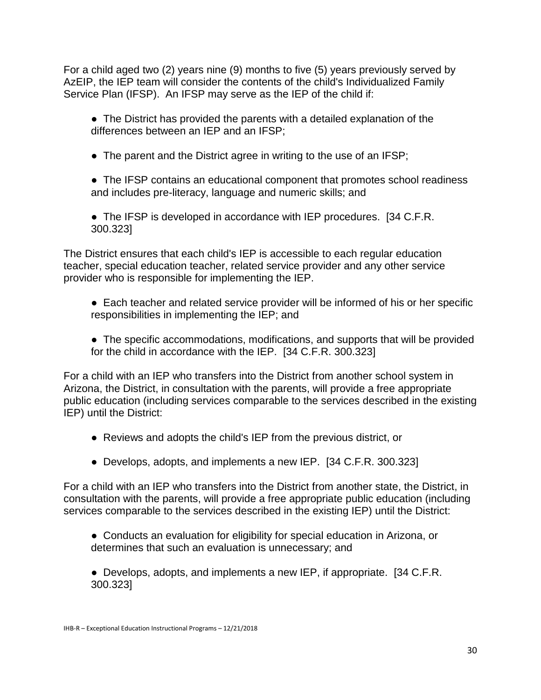For a child aged two (2) years nine (9) months to five (5) years previously served by AzEIP, the IEP team will consider the contents of the child's Individualized Family Service Plan (IFSP). An IFSP may serve as the IEP of the child if:

• The District has provided the parents with a detailed explanation of the differences between an IEP and an IFSP;

• The parent and the District agree in writing to the use of an IFSP;

• The IFSP contains an educational component that promotes school readiness and includes pre-literacy, language and numeric skills; and

• The IFSP is developed in accordance with IEP procedures. [34 C.F.R.] 300.323]

The District ensures that each child's IEP is accessible to each regular education teacher, special education teacher, related service provider and any other service provider who is responsible for implementing the IEP.

- Each teacher and related service provider will be informed of his or her specific responsibilities in implementing the IEP; and
- The specific accommodations, modifications, and supports that will be provided for the child in accordance with the IEP. [34 C.F.R. 300.323]

For a child with an IEP who transfers into the District from another school system in Arizona, the District, in consultation with the parents, will provide a free appropriate public education (including services comparable to the services described in the existing IEP) until the District:

- Reviews and adopts the child's IEP from the previous district, or
- Develops, adopts, and implements a new IEP. [34 C.F.R. 300.323]

For a child with an IEP who transfers into the District from another state, the District, in consultation with the parents, will provide a free appropriate public education (including services comparable to the services described in the existing IEP) until the District:

● Conducts an evaluation for eligibility for special education in Arizona, or determines that such an evaluation is unnecessary; and

● Develops, adopts, and implements a new IEP, if appropriate. [34 C.F.R.] 300.323]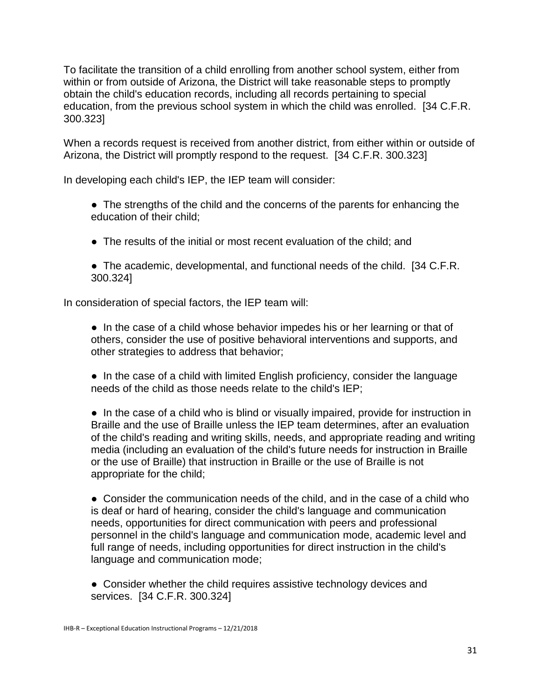To facilitate the transition of a child enrolling from another school system, either from within or from outside of Arizona, the District will take reasonable steps to promptly obtain the child's education records, including all records pertaining to special education, from the previous school system in which the child was enrolled. [34 C.F.R. 300.323]

When a records request is received from another district, from either within or outside of Arizona, the District will promptly respond to the request. [34 C.F.R. 300.323]

In developing each child's IEP, the IEP team will consider:

• The strengths of the child and the concerns of the parents for enhancing the education of their child;

- The results of the initial or most recent evaluation of the child; and
- The academic, developmental, and functional needs of the child. [34 C.F.R.] 300.324]

In consideration of special factors, the IEP team will:

• In the case of a child whose behavior impedes his or her learning or that of others, consider the use of positive behavioral interventions and supports, and other strategies to address that behavior;

● In the case of a child with limited English proficiency, consider the language needs of the child as those needs relate to the child's IEP;

• In the case of a child who is blind or visually impaired, provide for instruction in Braille and the use of Braille unless the IEP team determines, after an evaluation of the child's reading and writing skills, needs, and appropriate reading and writing media (including an evaluation of the child's future needs for instruction in Braille or the use of Braille) that instruction in Braille or the use of Braille is not appropriate for the child;

● Consider the communication needs of the child, and in the case of a child who is deaf or hard of hearing, consider the child's language and communication needs, opportunities for direct communication with peers and professional personnel in the child's language and communication mode, academic level and full range of needs, including opportunities for direct instruction in the child's language and communication mode;

• Consider whether the child requires assistive technology devices and services. [34 C.F.R. 300.324]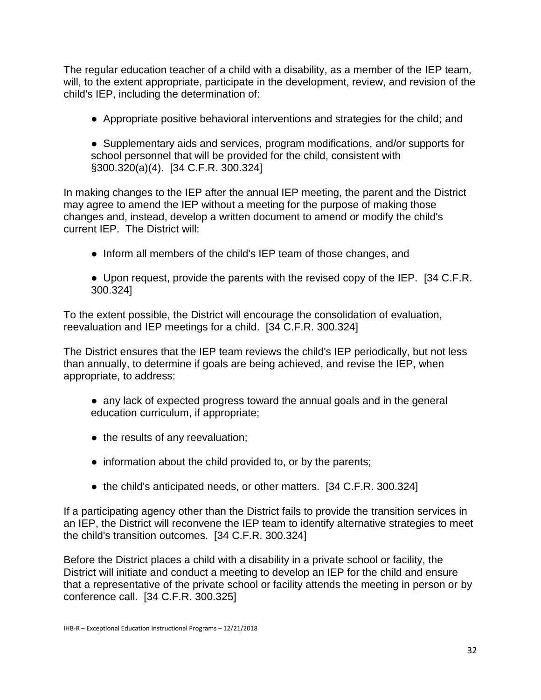The regular education teacher of a child with a disability, as a member of the IEP team, will, to the extent appropriate, participate in the development, review, and revision of the child's IEP, including the determination of:

● Appropriate positive behavioral interventions and strategies for the child; and

● Supplementary aids and services, program modifications, and/or supports for school personnel that will be provided for the child, consistent with §300.320(a)(4). [34 C.F.R. 300.324]

In making changes to the IEP after the annual IEP meeting, the parent and the District may agree to amend the IEP without a meeting for the purpose of making those changes and, instead, develop a written document to amend or modify the child's current IEP. The District will:

- Inform all members of the child's IEP team of those changes, and
- Upon request, provide the parents with the revised copy of the IEP. [34 C.F.R. 300.324]

To the extent possible, the District will encourage the consolidation of evaluation, reevaluation and IEP meetings for a child. [34 C.F.R. 300.324]

The District ensures that the IEP team reviews the child's IEP periodically, but not less than annually, to determine if goals are being achieved, and revise the IEP, when appropriate, to address:

- any lack of expected progress toward the annual goals and in the general education curriculum, if appropriate;
- the results of any reevaluation;
- information about the child provided to, or by the parents;
- the child's anticipated needs, or other matters. [34 C.F.R. 300.324]

If a participating agency other than the District fails to provide the transition services in an IEP, the District will reconvene the IEP team to identify alternative strategies to meet the child's transition outcomes. [34 C.F.R. 300.324]

Before the District places a child with a disability in a private school or facility, the District will initiate and conduct a meeting to develop an IEP for the child and ensure that a representative of the private school or facility attends the meeting in person or by conference call. [34 C.F.R. 300.325]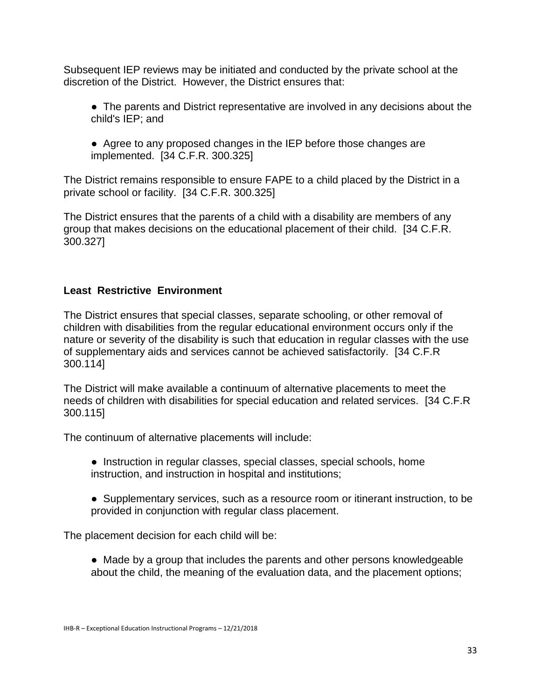Subsequent IEP reviews may be initiated and conducted by the private school at the discretion of the District. However, the District ensures that:

● The parents and District representative are involved in any decisions about the child's IEP; and

● Agree to any proposed changes in the IEP before those changes are implemented. [34 C.F.R. 300.325]

The District remains responsible to ensure FAPE to a child placed by the District in a private school or facility. [34 C.F.R. 300.325]

The District ensures that the parents of a child with a disability are members of any group that makes decisions on the educational placement of their child. [34 C.F.R. 300.327]

# **Least Restrictive Environment**

The District ensures that special classes, separate schooling, or other removal of children with disabilities from the regular educational environment occurs only if the nature or severity of the disability is such that education in regular classes with the use of supplementary aids and services cannot be achieved satisfactorily. [34 C.F.R 300.114]

The District will make available a continuum of alternative placements to meet the needs of children with disabilities for special education and related services. [34 C.F.R 300.115]

The continuum of alternative placements will include:

- Instruction in regular classes, special classes, special schools, home instruction, and instruction in hospital and institutions;
- Supplementary services, such as a resource room or itinerant instruction, to be provided in conjunction with regular class placement.

The placement decision for each child will be:

● Made by a group that includes the parents and other persons knowledgeable about the child, the meaning of the evaluation data, and the placement options;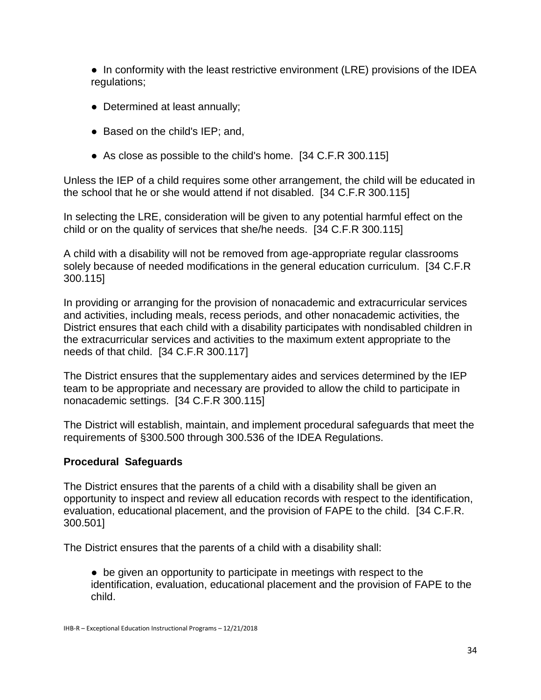● In conformity with the least restrictive environment (LRE) provisions of the IDEA regulations;

- Determined at least annually;
- Based on the child's IEP; and,
- As close as possible to the child's home. [34 C.F.R 300.115]

Unless the IEP of a child requires some other arrangement, the child will be educated in the school that he or she would attend if not disabled. [34 C.F.R 300.115]

In selecting the LRE, consideration will be given to any potential harmful effect on the child or on the quality of services that she/he needs. [34 C.F.R 300.115]

A child with a disability will not be removed from age-appropriate regular classrooms solely because of needed modifications in the general education curriculum. [34 C.F.R 300.115]

In providing or arranging for the provision of nonacademic and extracurricular services and activities, including meals, recess periods, and other nonacademic activities, the District ensures that each child with a disability participates with nondisabled children in the extracurricular services and activities to the maximum extent appropriate to the needs of that child. [34 C.F.R 300.117]

The District ensures that the supplementary aides and services determined by the IEP team to be appropriate and necessary are provided to allow the child to participate in nonacademic settings. [34 C.F.R 300.115]

The District will establish, maintain, and implement procedural safeguards that meet the requirements of §300.500 through 300.536 of the IDEA Regulations.

# **Procedural Safeguards**

The District ensures that the parents of a child with a disability shall be given an opportunity to inspect and review all education records with respect to the identification, evaluation, educational placement, and the provision of FAPE to the child. [34 C.F.R. 300.501]

The District ensures that the parents of a child with a disability shall:

● be given an opportunity to participate in meetings with respect to the identification, evaluation, educational placement and the provision of FAPE to the child.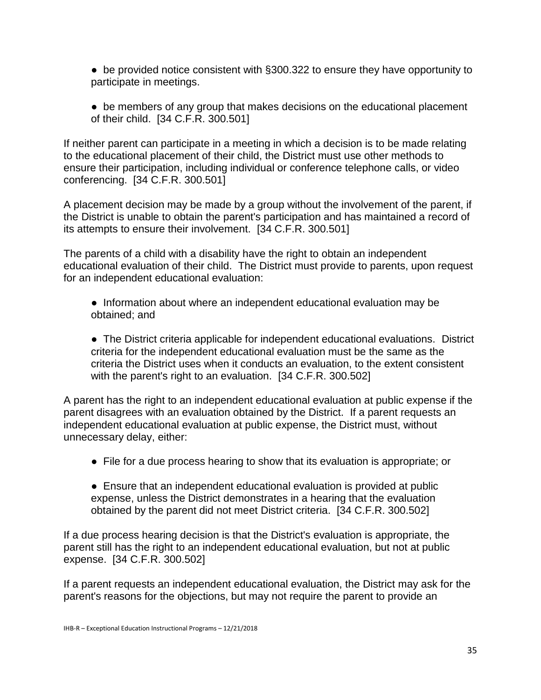● be provided notice consistent with §300.322 to ensure they have opportunity to participate in meetings.

• be members of any group that makes decisions on the educational placement of their child. [34 C.F.R. 300.501]

If neither parent can participate in a meeting in which a decision is to be made relating to the educational placement of their child, the District must use other methods to ensure their participation, including individual or conference telephone calls, or video conferencing. [34 C.F.R. 300.501]

A placement decision may be made by a group without the involvement of the parent, if the District is unable to obtain the parent's participation and has maintained a record of its attempts to ensure their involvement. [34 C.F.R. 300.501]

The parents of a child with a disability have the right to obtain an independent educational evaluation of their child. The District must provide to parents, upon request for an independent educational evaluation:

● Information about where an independent educational evaluation may be obtained; and

● The District criteria applicable for independent educational evaluations. District criteria for the independent educational evaluation must be the same as the criteria the District uses when it conducts an evaluation, to the extent consistent with the parent's right to an evaluation. [34 C.F.R. 300.502]

A parent has the right to an independent educational evaluation at public expense if the parent disagrees with an evaluation obtained by the District. If a parent requests an independent educational evaluation at public expense, the District must, without unnecessary delay, either:

- File for a due process hearing to show that its evaluation is appropriate; or
- Ensure that an independent educational evaluation is provided at public expense, unless the District demonstrates in a hearing that the evaluation obtained by the parent did not meet District criteria. [34 C.F.R. 300.502]

If a due process hearing decision is that the District's evaluation is appropriate, the parent still has the right to an independent educational evaluation, but not at public expense. [34 C.F.R. 300.502]

If a parent requests an independent educational evaluation, the District may ask for the parent's reasons for the objections, but may not require the parent to provide an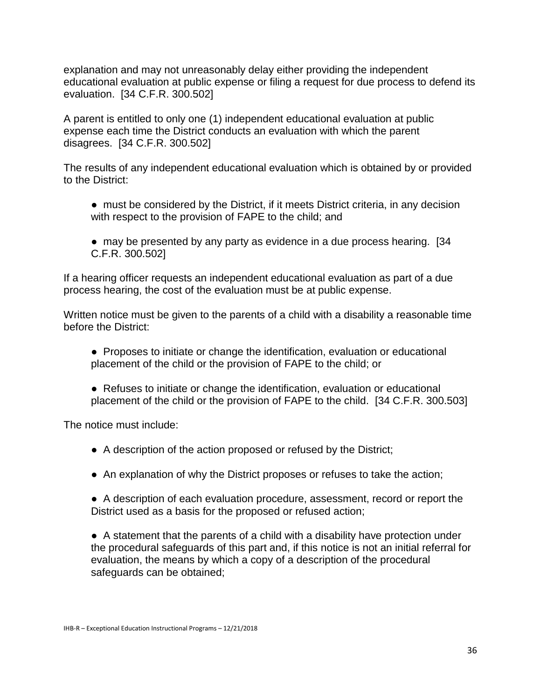explanation and may not unreasonably delay either providing the independent educational evaluation at public expense or filing a request for due process to defend its evaluation. [34 C.F.R. 300.502]

A parent is entitled to only one (1) independent educational evaluation at public expense each time the District conducts an evaluation with which the parent disagrees. [34 C.F.R. 300.502]

The results of any independent educational evaluation which is obtained by or provided to the District:

- must be considered by the District, if it meets District criteria, in any decision with respect to the provision of FAPE to the child; and
- may be presented by any party as evidence in a due process hearing. [34] C.F.R. 300.502]

If a hearing officer requests an independent educational evaluation as part of a due process hearing, the cost of the evaluation must be at public expense.

Written notice must be given to the parents of a child with a disability a reasonable time before the District:

● Proposes to initiate or change the identification, evaluation or educational placement of the child or the provision of FAPE to the child; or

● Refuses to initiate or change the identification, evaluation or educational placement of the child or the provision of FAPE to the child. [34 C.F.R. 300.503]

The notice must include:

- A description of the action proposed or refused by the District;
- An explanation of why the District proposes or refuses to take the action;
- A description of each evaluation procedure, assessment, record or report the District used as a basis for the proposed or refused action;

● A statement that the parents of a child with a disability have protection under the procedural safeguards of this part and, if this notice is not an initial referral for evaluation, the means by which a copy of a description of the procedural safeguards can be obtained;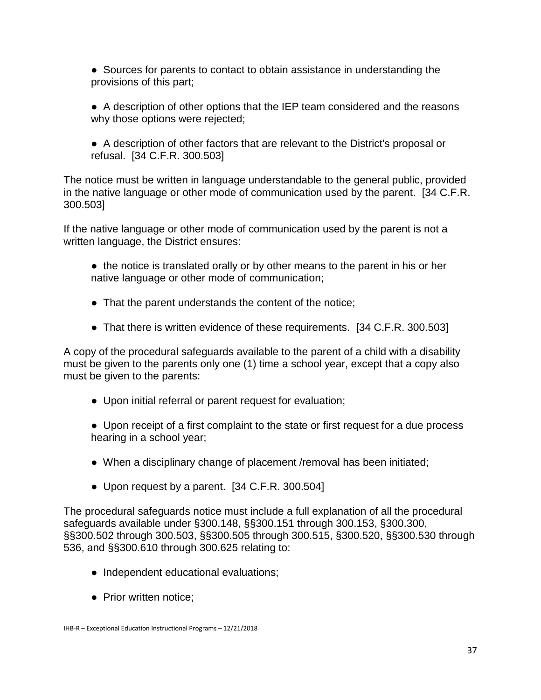● Sources for parents to contact to obtain assistance in understanding the provisions of this part;

● A description of other options that the IEP team considered and the reasons why those options were rejected;

● A description of other factors that are relevant to the District's proposal or refusal. [34 C.F.R. 300.503]

The notice must be written in language understandable to the general public, provided in the native language or other mode of communication used by the parent. [34 C.F.R. 300.503]

If the native language or other mode of communication used by the parent is not a written language, the District ensures:

- the notice is translated orally or by other means to the parent in his or her native language or other mode of communication;
- That the parent understands the content of the notice;
- That there is written evidence of these requirements. [34 C.F.R. 300.503]

A copy of the procedural safeguards available to the parent of a child with a disability must be given to the parents only one (1) time a school year, except that a copy also must be given to the parents:

● Upon initial referral or parent request for evaluation;

● Upon receipt of a first complaint to the state or first request for a due process hearing in a school year;

- When a disciplinary change of placement /removal has been initiated;
- Upon request by a parent. [34 C.F.R. 300.504]

The procedural safeguards notice must include a full explanation of all the procedural safeguards available under §300.148, §§300.151 through 300.153, §300.300, §§300.502 through 300.503, §§300.505 through 300.515, §300.520, §§300.530 through 536, and §§300.610 through 300.625 relating to:

- Independent educational evaluations;
- Prior written notice;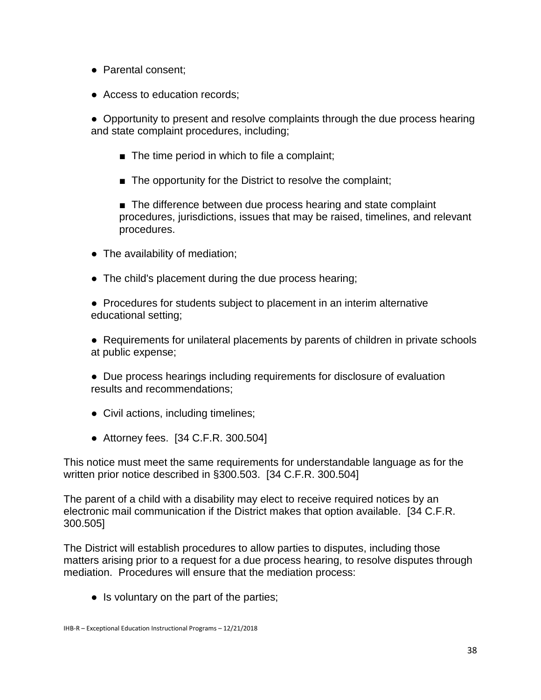- Parental consent;
- Access to education records;

● Opportunity to present and resolve complaints through the due process hearing and state complaint procedures, including;

- $\blacksquare$  The time period in which to file a complaint;
- The opportunity for the District to resolve the complaint;

■ The difference between due process hearing and state complaint procedures, jurisdictions, issues that may be raised, timelines, and relevant procedures.

- The availability of mediation;
- The child's placement during the due process hearing;

● Procedures for students subject to placement in an interim alternative educational setting;

● Requirements for unilateral placements by parents of children in private schools at public expense;

- Due process hearings including requirements for disclosure of evaluation results and recommendations;
- Civil actions, including timelines;
- Attorney fees. [34 C.F.R. 300.504]

This notice must meet the same requirements for understandable language as for the written prior notice described in §300.503. [34 C.F.R. 300.504]

The parent of a child with a disability may elect to receive required notices by an electronic mail communication if the District makes that option available. [34 C.F.R. 300.505]

The District will establish procedures to allow parties to disputes, including those matters arising prior to a request for a due process hearing, to resolve disputes through mediation. Procedures will ensure that the mediation process:

• Is voluntary on the part of the parties;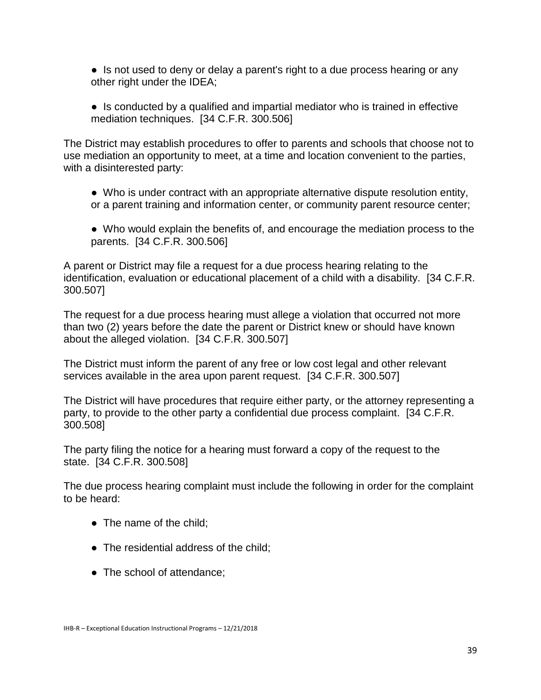• Is not used to deny or delay a parent's right to a due process hearing or any other right under the IDEA;

● Is conducted by a qualified and impartial mediator who is trained in effective mediation techniques. [34 C.F.R. 300.506]

The District may establish procedures to offer to parents and schools that choose not to use mediation an opportunity to meet, at a time and location convenient to the parties, with a disinterested party:

- Who is under contract with an appropriate alternative dispute resolution entity, or a parent training and information center, or community parent resource center;
- Who would explain the benefits of, and encourage the mediation process to the parents. [34 C.F.R. 300.506]

A parent or District may file a request for a due process hearing relating to the identification, evaluation or educational placement of a child with a disability. [34 C.F.R. 300.507]

The request for a due process hearing must allege a violation that occurred not more than two (2) years before the date the parent or District knew or should have known about the alleged violation. [34 C.F.R. 300.507]

The District must inform the parent of any free or low cost legal and other relevant services available in the area upon parent request. [34 C.F.R. 300.507]

The District will have procedures that require either party, or the attorney representing a party, to provide to the other party a confidential due process complaint. [34 C.F.R. 300.508]

The party filing the notice for a hearing must forward a copy of the request to the state. [34 C.F.R. 300.508]

The due process hearing complaint must include the following in order for the complaint to be heard:

- The name of the child;
- The residential address of the child;
- The school of attendance: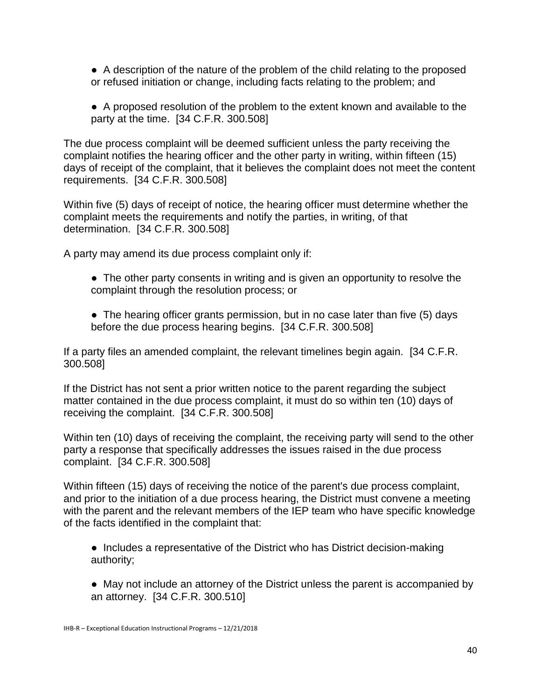● A description of the nature of the problem of the child relating to the proposed or refused initiation or change, including facts relating to the problem; and

● A proposed resolution of the problem to the extent known and available to the party at the time. [34 C.F.R. 300.508]

The due process complaint will be deemed sufficient unless the party receiving the complaint notifies the hearing officer and the other party in writing, within fifteen (15) days of receipt of the complaint, that it believes the complaint does not meet the content requirements. [34 C.F.R. 300.508]

Within five (5) days of receipt of notice, the hearing officer must determine whether the complaint meets the requirements and notify the parties, in writing, of that determination. [34 C.F.R. 300.508]

A party may amend its due process complaint only if:

- The other party consents in writing and is given an opportunity to resolve the complaint through the resolution process; or
- The hearing officer grants permission, but in no case later than five (5) days before the due process hearing begins. [34 C.F.R. 300.508]

If a party files an amended complaint, the relevant timelines begin again. [34 C.F.R. 300.508]

If the District has not sent a prior written notice to the parent regarding the subject matter contained in the due process complaint, it must do so within ten (10) days of receiving the complaint. [34 C.F.R. 300.508]

Within ten (10) days of receiving the complaint, the receiving party will send to the other party a response that specifically addresses the issues raised in the due process complaint. [34 C.F.R. 300.508]

Within fifteen (15) days of receiving the notice of the parent's due process complaint, and prior to the initiation of a due process hearing, the District must convene a meeting with the parent and the relevant members of the IEP team who have specific knowledge of the facts identified in the complaint that:

● Includes a representative of the District who has District decision-making authority;

● May not include an attorney of the District unless the parent is accompanied by an attorney. [34 C.F.R. 300.510]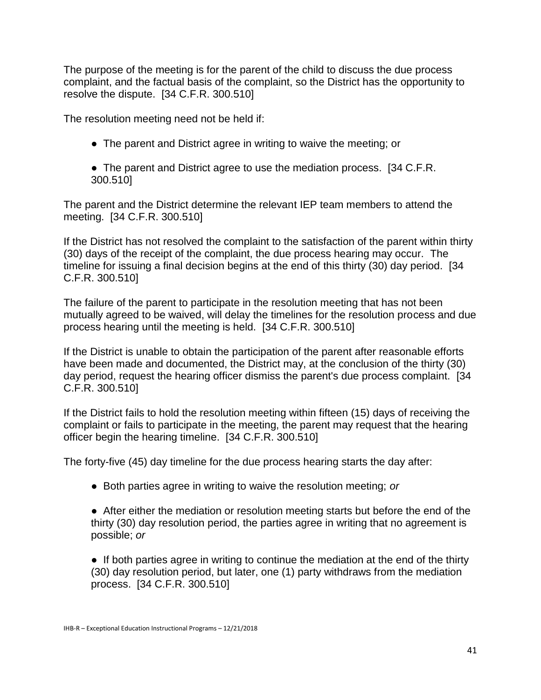The purpose of the meeting is for the parent of the child to discuss the due process complaint, and the factual basis of the complaint, so the District has the opportunity to resolve the dispute. [34 C.F.R. 300.510]

The resolution meeting need not be held if:

- The parent and District agree in writing to waive the meeting; or
- The parent and District agree to use the mediation process. [34 C.F.R.] 300.510]

The parent and the District determine the relevant IEP team members to attend the meeting. [34 C.F.R. 300.510]

If the District has not resolved the complaint to the satisfaction of the parent within thirty (30) days of the receipt of the complaint, the due process hearing may occur. The timeline for issuing a final decision begins at the end of this thirty (30) day period. [34 C.F.R. 300.510]

The failure of the parent to participate in the resolution meeting that has not been mutually agreed to be waived, will delay the timelines for the resolution process and due process hearing until the meeting is held. [34 C.F.R. 300.510]

If the District is unable to obtain the participation of the parent after reasonable efforts have been made and documented, the District may, at the conclusion of the thirty (30) day period, request the hearing officer dismiss the parent's due process complaint. [34 C.F.R. 300.510]

If the District fails to hold the resolution meeting within fifteen (15) days of receiving the complaint or fails to participate in the meeting, the parent may request that the hearing officer begin the hearing timeline. [34 C.F.R. 300.510]

The forty-five (45) day timeline for the due process hearing starts the day after:

● Both parties agree in writing to waive the resolution meeting; *or*

● After either the mediation or resolution meeting starts but before the end of the thirty (30) day resolution period, the parties agree in writing that no agreement is possible; *or*

• If both parties agree in writing to continue the mediation at the end of the thirty (30) day resolution period, but later, one (1) party withdraws from the mediation process. [34 C.F.R. 300.510]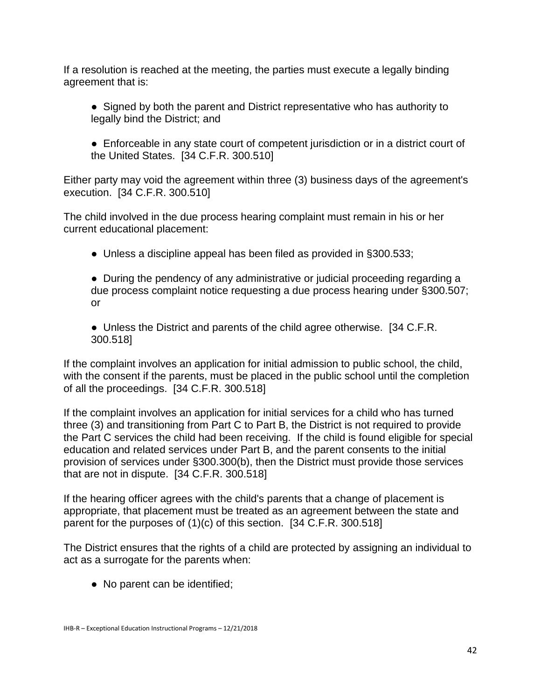If a resolution is reached at the meeting, the parties must execute a legally binding agreement that is:

- Signed by both the parent and District representative who has authority to legally bind the District; and
- Enforceable in any state court of competent jurisdiction or in a district court of the United States. [34 C.F.R. 300.510]

Either party may void the agreement within three (3) business days of the agreement's execution. [34 C.F.R. 300.510]

The child involved in the due process hearing complaint must remain in his or her current educational placement:

• Unless a discipline appeal has been filed as provided in §300.533;

● During the pendency of any administrative or judicial proceeding regarding a due process complaint notice requesting a due process hearing under §300.507; or

● Unless the District and parents of the child agree otherwise. [34 C.F.R. 300.518]

If the complaint involves an application for initial admission to public school, the child, with the consent if the parents, must be placed in the public school until the completion of all the proceedings. [34 C.F.R. 300.518]

If the complaint involves an application for initial services for a child who has turned three (3) and transitioning from Part C to Part B, the District is not required to provide the Part C services the child had been receiving. If the child is found eligible for special education and related services under Part B, and the parent consents to the initial provision of services under §300.300(b), then the District must provide those services that are not in dispute. [34 C.F.R. 300.518]

If the hearing officer agrees with the child's parents that a change of placement is appropriate, that placement must be treated as an agreement between the state and parent for the purposes of (1)(c) of this section. [34 C.F.R. 300.518]

The District ensures that the rights of a child are protected by assigning an individual to act as a surrogate for the parents when:

• No parent can be identified;